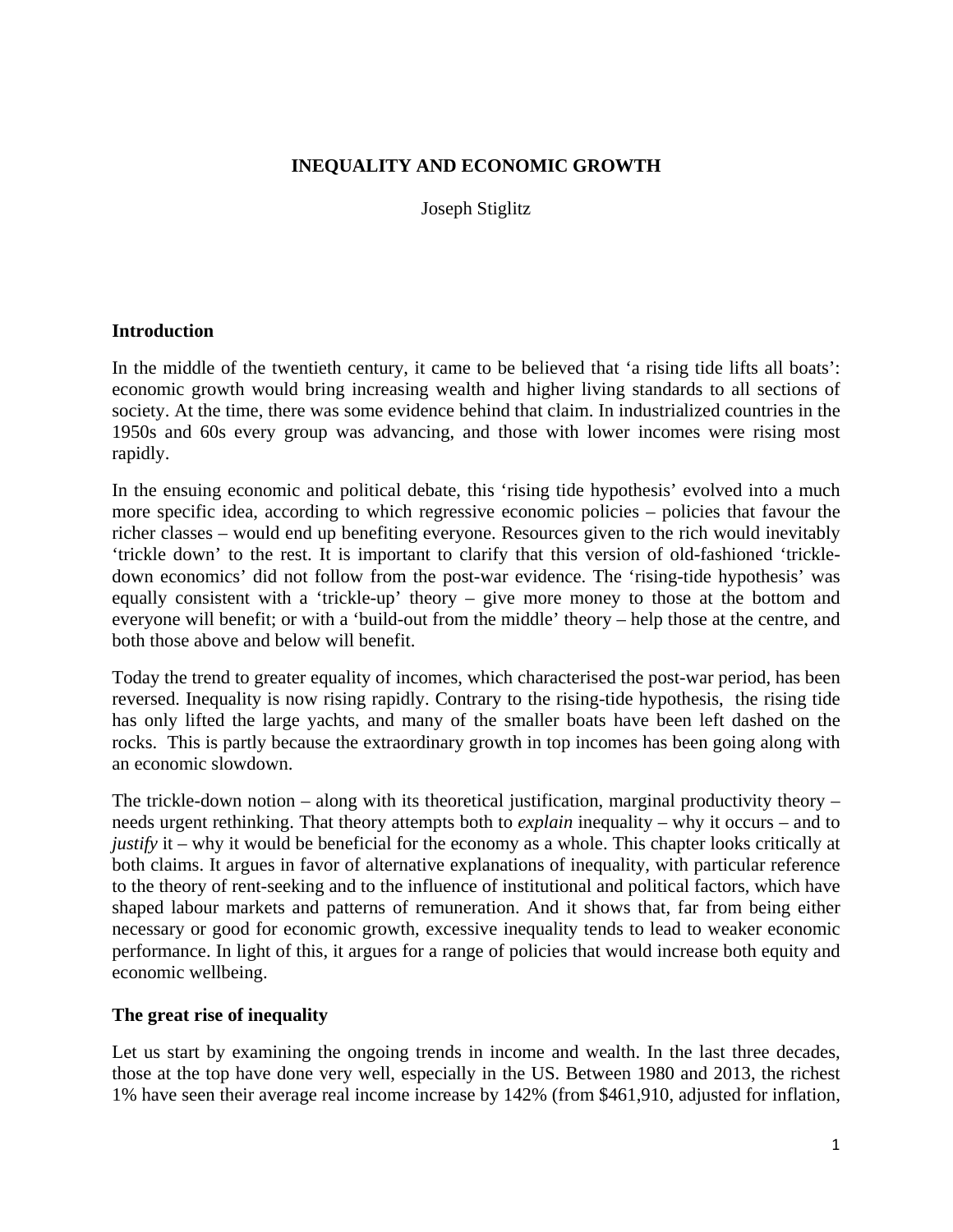# **INEQUALITY AND ECONOMIC GROWTH**

Joseph Stiglitz

#### **Introduction**

In the middle of the twentieth century, it came to be believed that 'a rising tide lifts all boats': economic growth would bring increasing wealth and higher living standards to all sections of society. At the time, there was some evidence behind that claim. In industrialized countries in the 1950s and 60s every group was advancing, and those with lower incomes were rising most rapidly.

In the ensuing economic and political debate, this 'rising tide hypothesis' evolved into a much more specific idea, according to which regressive economic policies – policies that favour the richer classes – would end up benefiting everyone. Resources given to the rich would inevitably 'trickle down' to the rest. It is important to clarify that this version of old-fashioned 'trickledown economics' did not follow from the post-war evidence. The 'rising-tide hypothesis' was equally consistent with a 'trickle-up' theory – give more money to those at the bottom and everyone will benefit; or with a 'build-out from the middle' theory – help those at the centre, and both those above and below will benefit.

Today the trend to greater equality of incomes, which characterised the post-war period, has been reversed. Inequality is now rising rapidly. Contrary to the rising-tide hypothesis, the rising tide has only lifted the large yachts, and many of the smaller boats have been left dashed on the rocks. This is partly because the extraordinary growth in top incomes has been going along with an economic slowdown.

The trickle-down notion – along with its theoretical justification, marginal productivity theory – needs urgent rethinking. That theory attempts both to *explain* inequality – why it occurs – and to *justify* it – why it would be beneficial for the economy as a whole. This chapter looks critically at both claims. It argues in favor of alternative explanations of inequality, with particular reference to the theory of rent-seeking and to the influence of institutional and political factors, which have shaped labour markets and patterns of remuneration. And it shows that, far from being either necessary or good for economic growth, excessive inequality tends to lead to weaker economic performance. In light of this, it argues for a range of policies that would increase both equity and economic wellbeing.

## **The great rise of inequality**

Let us start by examining the ongoing trends in income and wealth. In the last three decades, those at the top have done very well, especially in the US. Between 1980 and 2013, the richest 1% have seen their average real income increase by 142% (from \$461,910, adjusted for inflation,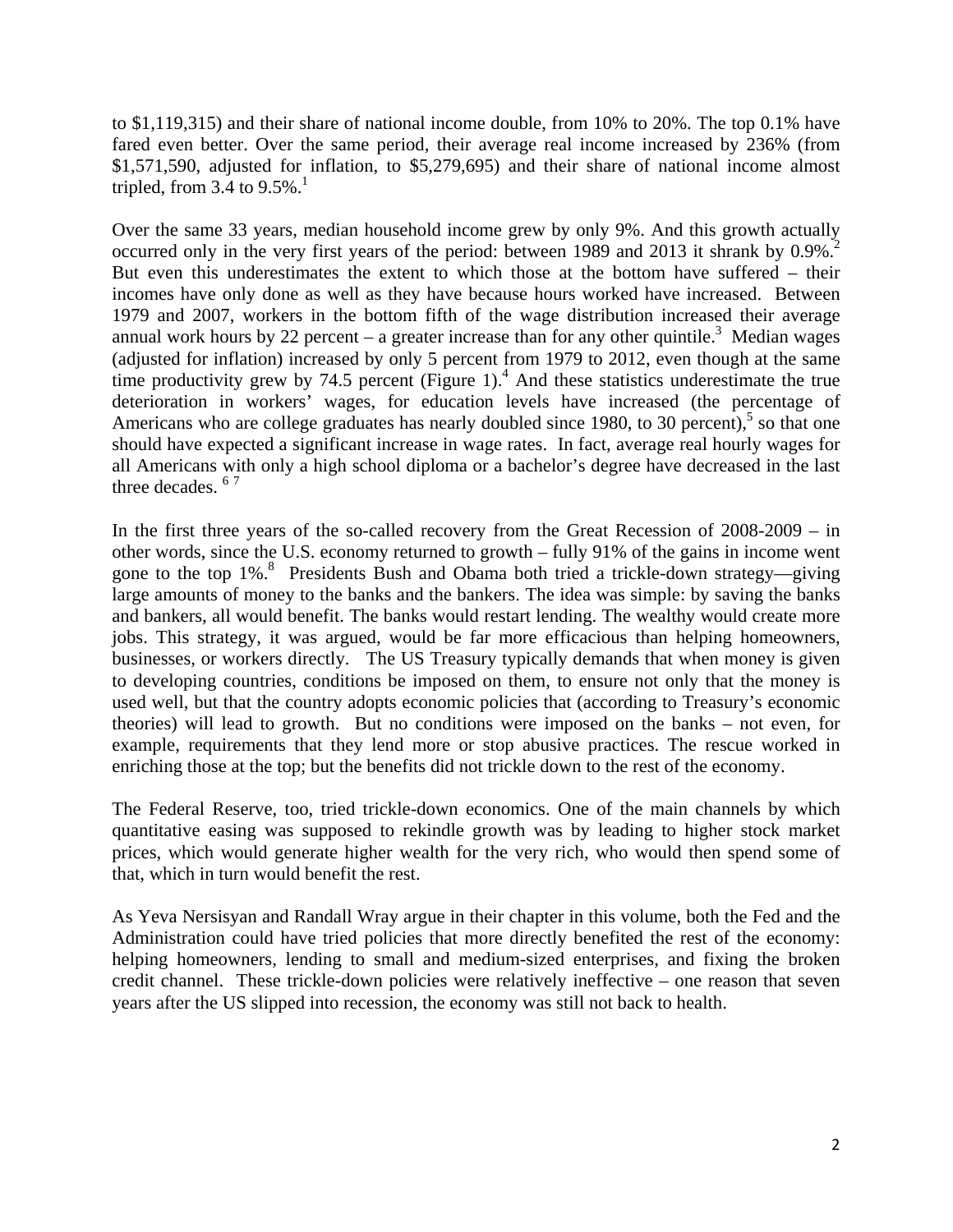to \$1,119,315) and their share of national income double, from 10% to 20%. The top 0.1% have fared even better. Over the same period, their average real income increased by 236% (from \$1,571,590, adjusted for inflation, to \$5,279,695) and their share of national income almost tripled, from  $3.4$  to  $9.5\%$ .<sup>1</sup>

Over the same 33 years, median household income grew by only 9%. And this growth actually occurred only in the very first years of the period: between 1989 and 2013 it shrank by 0.9%.<sup>2</sup> But even this underestimates the extent to which those at the bottom have suffered – their incomes have only done as well as they have because hours worked have increased. Between 1979 and 2007, workers in the bottom fifth of the wage distribution increased their average annual work hours by 22 percent – a greater increase than for any other quintile.<sup>3</sup> Median wages (adjusted for inflation) increased by only 5 percent from 1979 to 2012, even though at the same time productivity grew by 74.5 percent (Figure 1).<sup>4</sup> And these statistics underestimate the true deterioration in workers' wages, for education levels have increased (the percentage of Americans who are college graduates has nearly doubled since 1980, to 30 percent),<sup>5</sup> so that one should have expected a significant increase in wage rates. In fact, average real hourly wages for all Americans with only a high school diploma or a bachelor's degree have decreased in the last three decades.  $67$ 

In the first three years of the so-called recovery from the Great Recession of 2008-2009 – in other words, since the U.S. economy returned to growth – fully 91% of the gains in income went gone to the top 1%.<sup>8</sup> Presidents Bush and Obama both tried a trickle-down strategy—giving large amounts of money to the banks and the bankers. The idea was simple: by saving the banks and bankers, all would benefit. The banks would restart lending. The wealthy would create more jobs. This strategy, it was argued, would be far more efficacious than helping homeowners, businesses, or workers directly. The US Treasury typically demands that when money is given to developing countries, conditions be imposed on them, to ensure not only that the money is used well, but that the country adopts economic policies that (according to Treasury's economic theories) will lead to growth. But no conditions were imposed on the banks – not even, for example, requirements that they lend more or stop abusive practices. The rescue worked in enriching those at the top; but the benefits did not trickle down to the rest of the economy.

The Federal Reserve, too, tried trickle-down economics. One of the main channels by which quantitative easing was supposed to rekindle growth was by leading to higher stock market prices, which would generate higher wealth for the very rich, who would then spend some of that, which in turn would benefit the rest.

As Yeva Nersisyan and Randall Wray argue in their chapter in this volume, both the Fed and the Administration could have tried policies that more directly benefited the rest of the economy: helping homeowners, lending to small and medium-sized enterprises, and fixing the broken credit channel. These trickle-down policies were relatively ineffective – one reason that seven years after the US slipped into recession, the economy was still not back to health.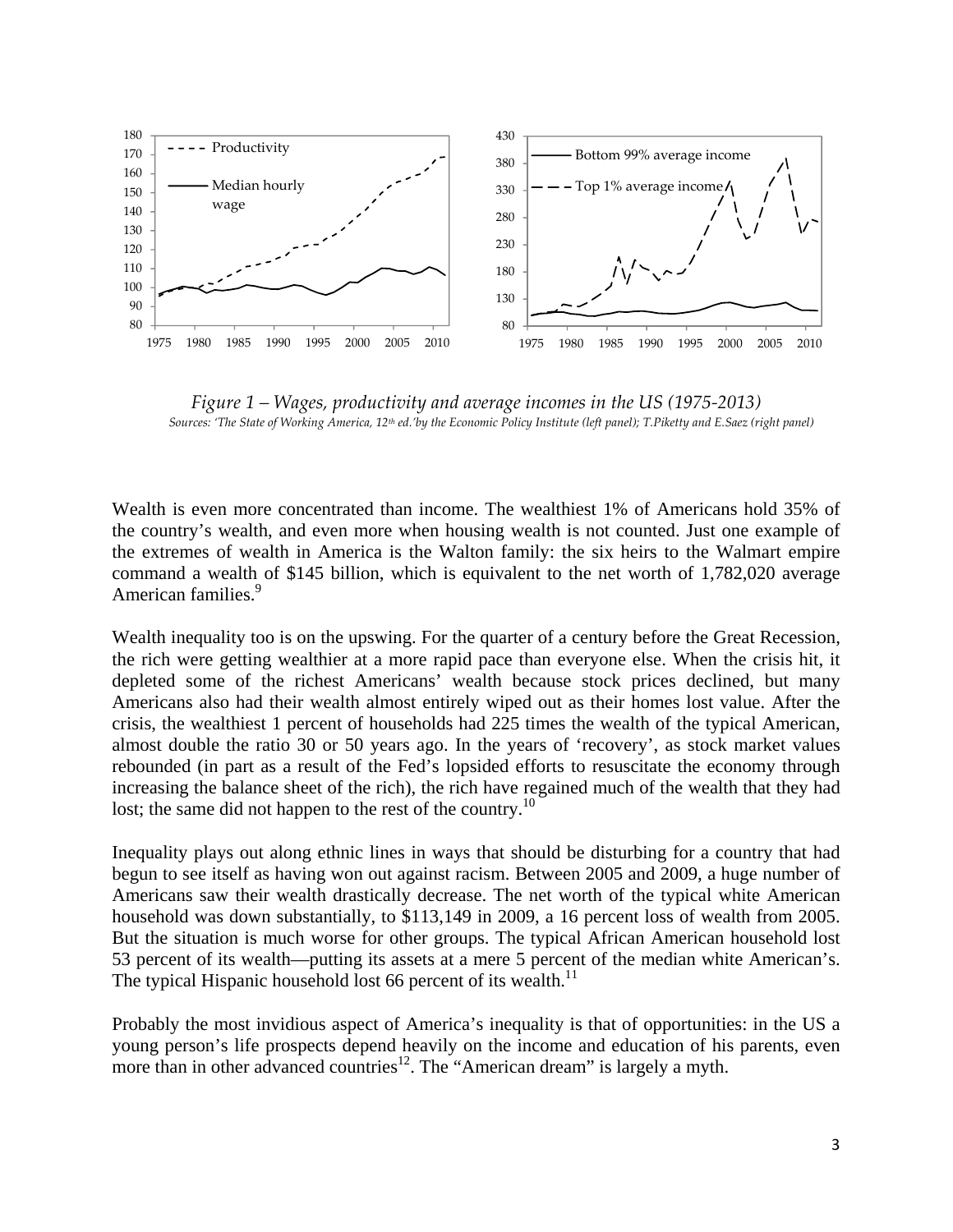

*Figure 1 – Wages, productivity and average incomes in the US (1975‐2013)* Sources: 'The State of Working America, 12<sup>th</sup> ed.'by the Economic Policy Institute (left panel); T.Piketty and E.Saez (right panel)

Wealth is even more concentrated than income. The wealthiest 1% of Americans hold 35% of the country's wealth, and even more when housing wealth is not counted. Just one example of the extremes of wealth in America is the Walton family: the six heirs to the Walmart empire command a wealth of \$145 billion, which is equivalent to the net worth of 1,782,020 average American families.<sup>9</sup>

Wealth inequality too is on the upswing. For the quarter of a century before the Great Recession, the rich were getting wealthier at a more rapid pace than everyone else. When the crisis hit, it depleted some of the richest Americans' wealth because stock prices declined, but many Americans also had their wealth almost entirely wiped out as their homes lost value. After the crisis, the wealthiest 1 percent of households had 225 times the wealth of the typical American, almost double the ratio 30 or 50 years ago. In the years of 'recovery', as stock market values rebounded (in part as a result of the Fed's lopsided efforts to resuscitate the economy through increasing the balance sheet of the rich), the rich have regained much of the wealth that they had lost; the same did not happen to the rest of the country.<sup>10</sup>

Inequality plays out along ethnic lines in ways that should be disturbing for a country that had begun to see itself as having won out against racism. Between 2005 and 2009, a huge number of Americans saw their wealth drastically decrease. The net worth of the typical white American household was down substantially, to \$113,149 in 2009, a 16 percent loss of wealth from 2005. But the situation is much worse for other groups. The typical African American household lost 53 percent of its wealth—putting its assets at a mere 5 percent of the median white American's. The typical Hispanic household lost 66 percent of its wealth.<sup>11</sup>

Probably the most invidious aspect of America's inequality is that of opportunities: in the US a young person's life prospects depend heavily on the income and education of his parents, even more than in other advanced countries<sup>12</sup>. The "American dream" is largely a myth.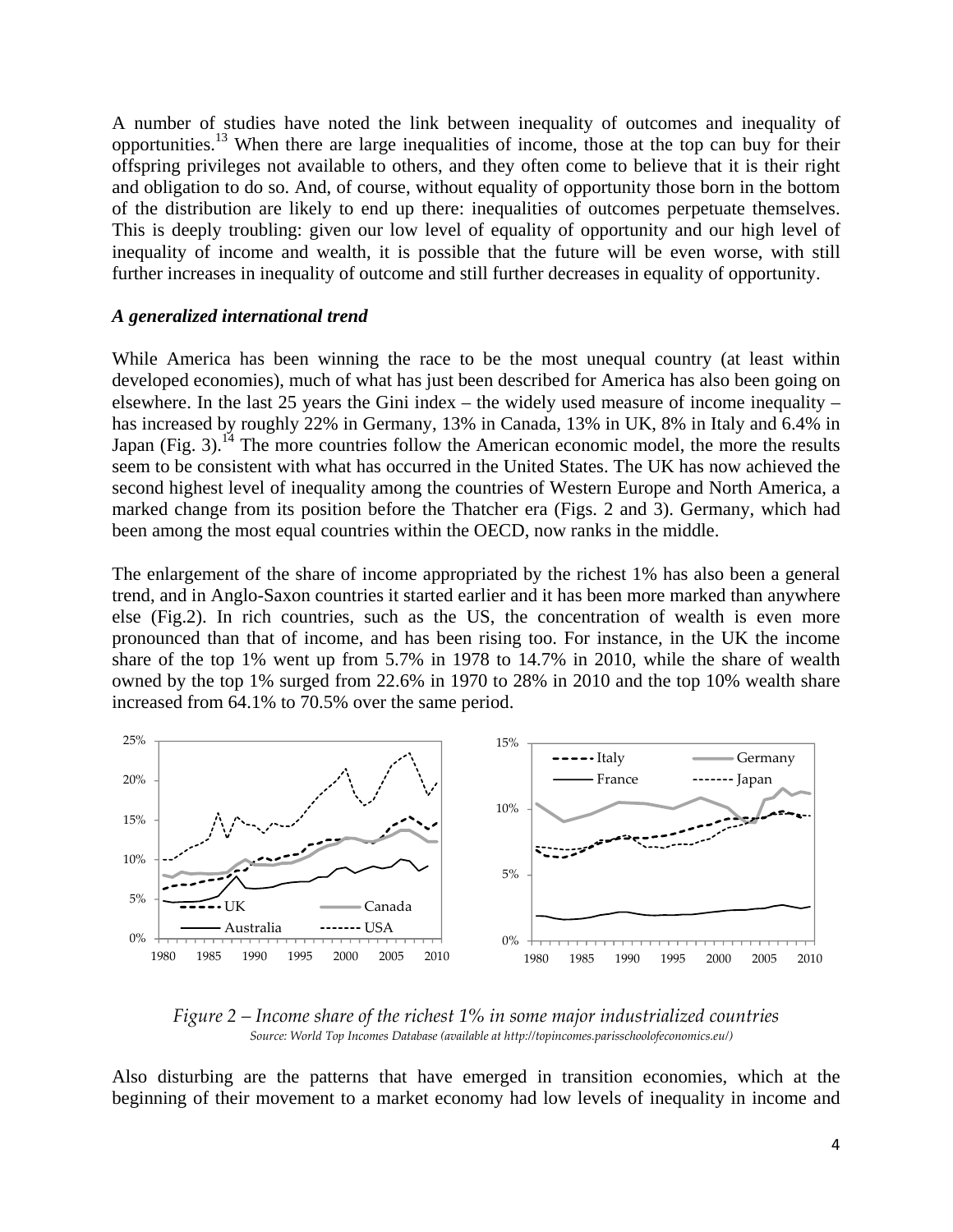A number of studies have noted the link between inequality of outcomes and inequality of opportunities.13 When there are large inequalities of income, those at the top can buy for their offspring privileges not available to others, and they often come to believe that it is their right and obligation to do so. And, of course, without equality of opportunity those born in the bottom of the distribution are likely to end up there: inequalities of outcomes perpetuate themselves. This is deeply troubling: given our low level of equality of opportunity and our high level of inequality of income and wealth, it is possible that the future will be even worse, with still further increases in inequality of outcome and still further decreases in equality of opportunity.

#### *A generalized international trend*

While America has been winning the race to be the most unequal country (at least within developed economies), much of what has just been described for America has also been going on elsewhere. In the last 25 years the Gini index – the widely used measure of income inequality – has increased by roughly 22% in Germany, 13% in Canada, 13% in UK, 8% in Italy and 6.4% in Japan (Fig. 3).<sup>14</sup> The more countries follow the American economic model, the more the results seem to be consistent with what has occurred in the United States. The UK has now achieved the second highest level of inequality among the countries of Western Europe and North America, a marked change from its position before the Thatcher era (Figs. 2 and 3). Germany, which had been among the most equal countries within the OECD, now ranks in the middle.

The enlargement of the share of income appropriated by the richest 1% has also been a general trend, and in Anglo-Saxon countries it started earlier and it has been more marked than anywhere else (Fig.2). In rich countries, such as the US, the concentration of wealth is even more pronounced than that of income, and has been rising too. For instance, in the UK the income share of the top 1% went up from 5.7% in 1978 to 14.7% in 2010, while the share of wealth owned by the top 1% surged from 22.6% in 1970 to 28% in 2010 and the top 10% wealth share increased from 64.1% to 70.5% over the same period.



*Figure 2 – Income share of the richest 1% in some major industrialized countries Source: World Top Incomes Database (available at http://topincomes.parisschoolofeconomics.eu/)*

Also disturbing are the patterns that have emerged in transition economies, which at the beginning of their movement to a market economy had low levels of inequality in income and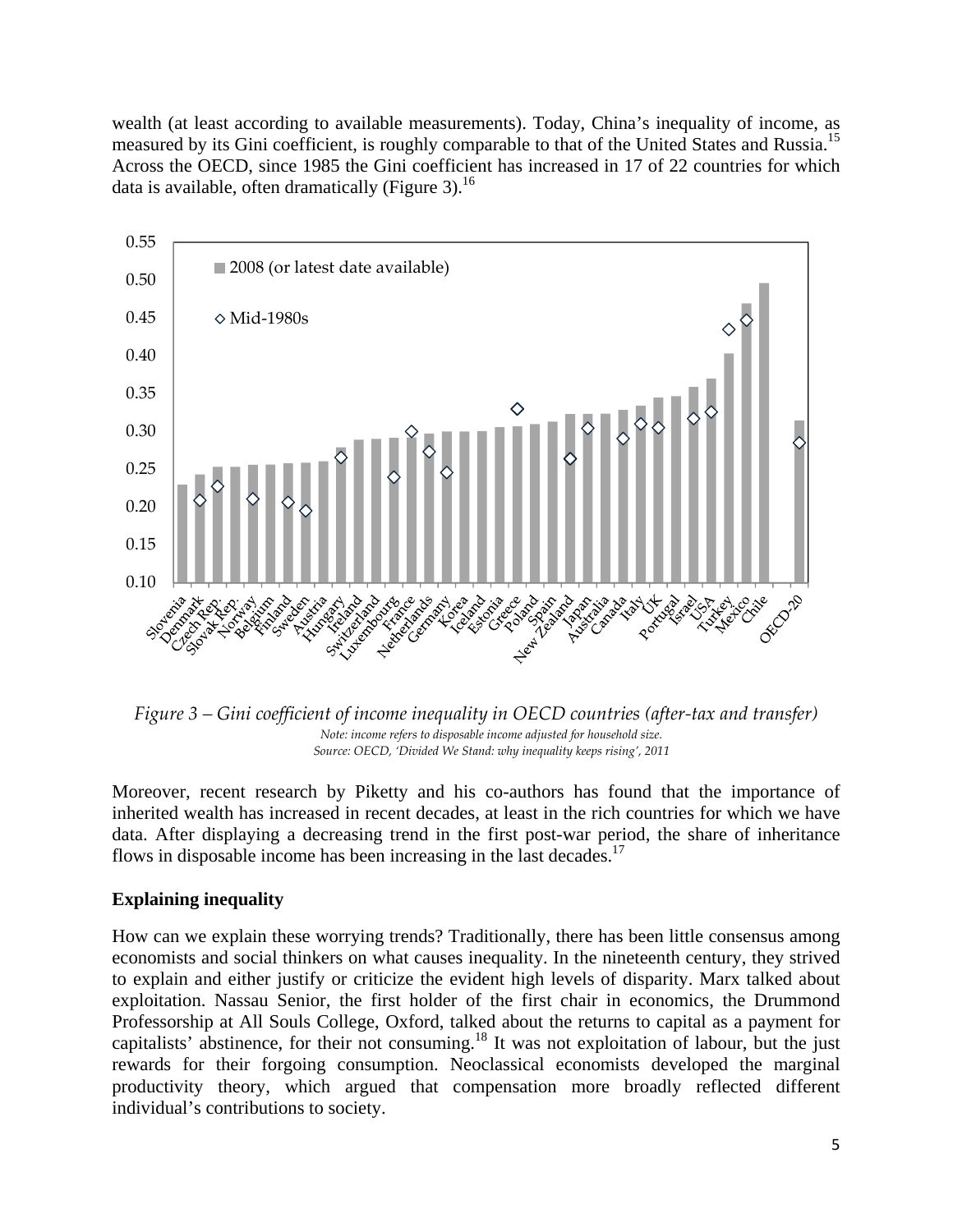wealth (at least according to available measurements). Today, China's inequality of income, as measured by its Gini coefficient, is roughly comparable to that of the United States and Russia.<sup>15</sup> Across the OECD, since 1985 the Gini coefficient has increased in 17 of 22 countries for which data is available, often dramatically (Figure 3).<sup>16</sup>



*Figure 3 – Gini coefficient of income inequality in OECD countries (after‐tax and transfer) Note: income refers to disposable income adjusted for household size. Source: OECD, 'Divided We Stand: why inequality keeps rising', 2011*

Moreover, recent research by Piketty and his co-authors has found that the importance of inherited wealth has increased in recent decades, at least in the rich countries for which we have data. After displaying a decreasing trend in the first post-war period, the share of inheritance flows in disposable income has been increasing in the last decades. $17$ 

## **Explaining inequality**

How can we explain these worrying trends? Traditionally, there has been little consensus among economists and social thinkers on what causes inequality. In the nineteenth century, they strived to explain and either justify or criticize the evident high levels of disparity. Marx talked about exploitation. Nassau Senior, the first holder of the first chair in economics, the Drummond Professorship at All Souls College, Oxford, talked about the returns to capital as a payment for capitalists' abstinence, for their not consuming.18 It was not exploitation of labour, but the just rewards for their forgoing consumption. Neoclassical economists developed the marginal productivity theory, which argued that compensation more broadly reflected different individual's contributions to society.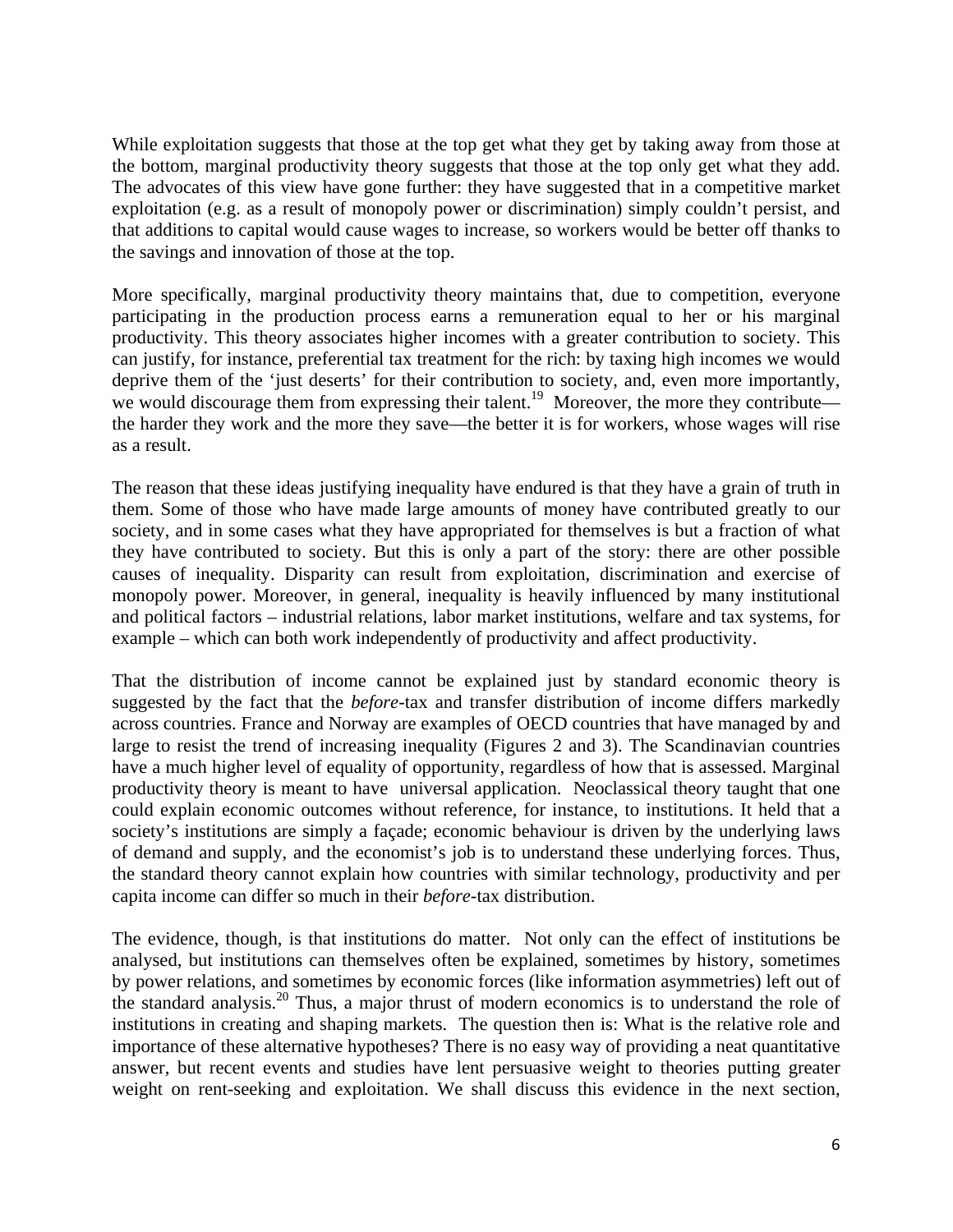While exploitation suggests that those at the top get what they get by taking away from those at the bottom, marginal productivity theory suggests that those at the top only get what they add. The advocates of this view have gone further: they have suggested that in a competitive market exploitation (e.g. as a result of monopoly power or discrimination) simply couldn't persist, and that additions to capital would cause wages to increase, so workers would be better off thanks to the savings and innovation of those at the top.

More specifically, marginal productivity theory maintains that, due to competition, everyone participating in the production process earns a remuneration equal to her or his marginal productivity. This theory associates higher incomes with a greater contribution to society. This can justify, for instance, preferential tax treatment for the rich: by taxing high incomes we would deprive them of the 'just deserts' for their contribution to society, and, even more importantly, we would discourage them from expressing their talent.<sup>19</sup> Moreover, the more they contribute the harder they work and the more they save—the better it is for workers, whose wages will rise as a result.

The reason that these ideas justifying inequality have endured is that they have a grain of truth in them. Some of those who have made large amounts of money have contributed greatly to our society, and in some cases what they have appropriated for themselves is but a fraction of what they have contributed to society. But this is only a part of the story: there are other possible causes of inequality. Disparity can result from exploitation, discrimination and exercise of monopoly power. Moreover, in general, inequality is heavily influenced by many institutional and political factors – industrial relations, labor market institutions, welfare and tax systems, for example – which can both work independently of productivity and affect productivity.

That the distribution of income cannot be explained just by standard economic theory is suggested by the fact that the *before*-tax and transfer distribution of income differs markedly across countries. France and Norway are examples of OECD countries that have managed by and large to resist the trend of increasing inequality (Figures 2 and 3). The Scandinavian countries have a much higher level of equality of opportunity, regardless of how that is assessed. Marginal productivity theory is meant to have universal application. Neoclassical theory taught that one could explain economic outcomes without reference, for instance, to institutions. It held that a society's institutions are simply a façade; economic behaviour is driven by the underlying laws of demand and supply, and the economist's job is to understand these underlying forces. Thus, the standard theory cannot explain how countries with similar technology, productivity and per capita income can differ so much in their *before*-tax distribution.

The evidence, though, is that institutions do matter. Not only can the effect of institutions be analysed, but institutions can themselves often be explained, sometimes by history, sometimes by power relations, and sometimes by economic forces (like information asymmetries) left out of the standard analysis.20 Thus, a major thrust of modern economics is to understand the role of institutions in creating and shaping markets. The question then is: What is the relative role and importance of these alternative hypotheses? There is no easy way of providing a neat quantitative answer, but recent events and studies have lent persuasive weight to theories putting greater weight on rent-seeking and exploitation. We shall discuss this evidence in the next section,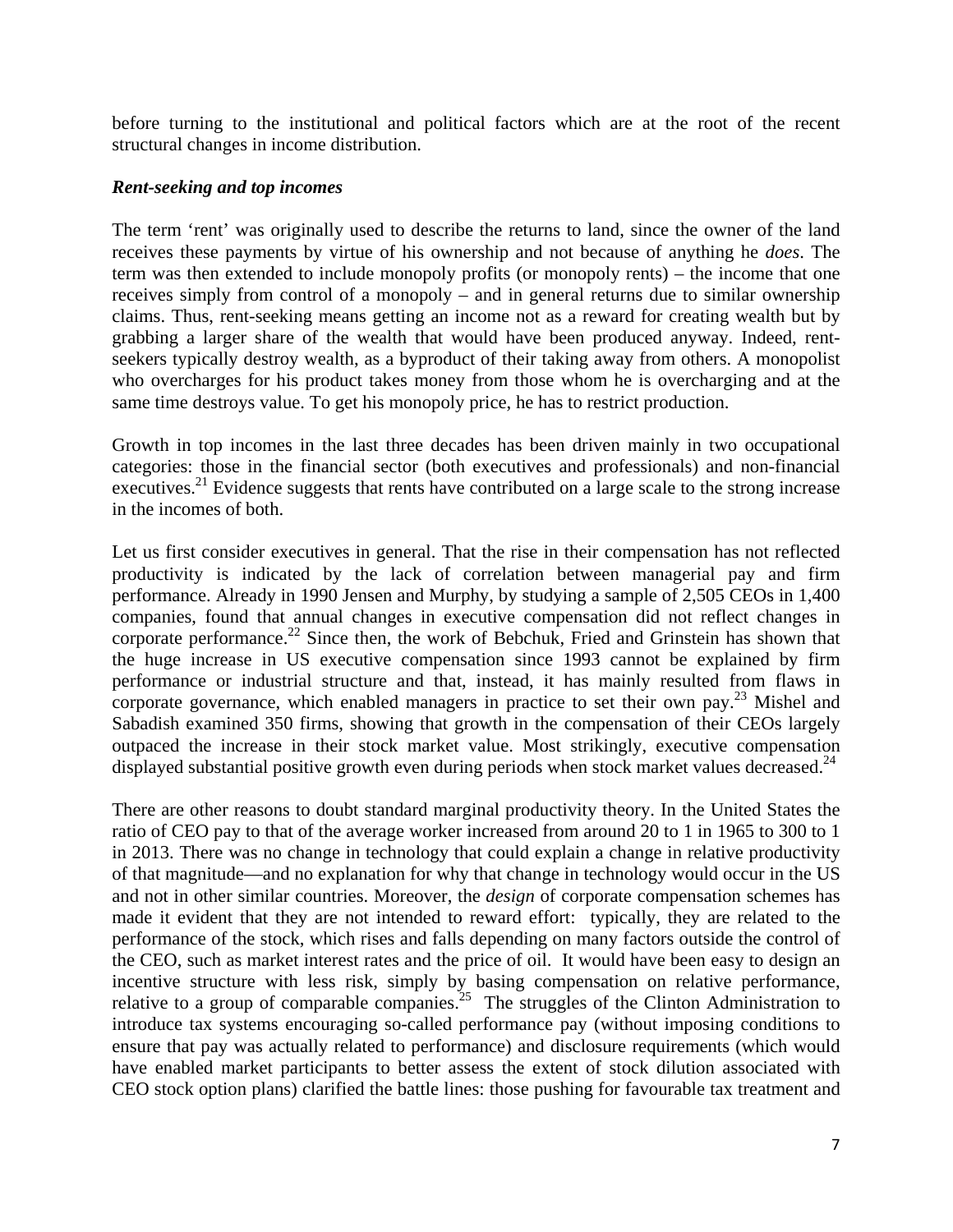before turning to the institutional and political factors which are at the root of the recent structural changes in income distribution.

#### *Rent-seeking and top incomes*

The term 'rent' was originally used to describe the returns to land, since the owner of the land receives these payments by virtue of his ownership and not because of anything he *does*. The term was then extended to include monopoly profits (or monopoly rents) – the income that one receives simply from control of a monopoly – and in general returns due to similar ownership claims. Thus, rent-seeking means getting an income not as a reward for creating wealth but by grabbing a larger share of the wealth that would have been produced anyway. Indeed, rentseekers typically destroy wealth, as a byproduct of their taking away from others. A monopolist who overcharges for his product takes money from those whom he is overcharging and at the same time destroys value. To get his monopoly price, he has to restrict production.

Growth in top incomes in the last three decades has been driven mainly in two occupational categories: those in the financial sector (both executives and professionals) and non-financial executives.<sup>21</sup> Evidence suggests that rents have contributed on a large scale to the strong increase in the incomes of both.

Let us first consider executives in general. That the rise in their compensation has not reflected productivity is indicated by the lack of correlation between managerial pay and firm performance. Already in 1990 Jensen and Murphy, by studying a sample of 2,505 CEOs in 1,400 companies, found that annual changes in executive compensation did not reflect changes in corporate performance.<sup>22</sup> Since then, the work of Bebchuk, Fried and Grinstein has shown that the huge increase in US executive compensation since 1993 cannot be explained by firm performance or industrial structure and that, instead, it has mainly resulted from flaws in corporate governance, which enabled managers in practice to set their own pay.<sup>23</sup> Mishel and Sabadish examined 350 firms, showing that growth in the compensation of their CEOs largely outpaced the increase in their stock market value. Most strikingly, executive compensation displayed substantial positive growth even during periods when stock market values decreased.<sup>24</sup>

There are other reasons to doubt standard marginal productivity theory. In the United States the ratio of CEO pay to that of the average worker increased from around 20 to 1 in 1965 to 300 to 1 in 2013. There was no change in technology that could explain a change in relative productivity of that magnitude—and no explanation for why that change in technology would occur in the US and not in other similar countries. Moreover, the *design* of corporate compensation schemes has made it evident that they are not intended to reward effort: typically, they are related to the performance of the stock, which rises and falls depending on many factors outside the control of the CEO, such as market interest rates and the price of oil. It would have been easy to design an incentive structure with less risk, simply by basing compensation on relative performance, relative to a group of comparable companies.<sup>25</sup> The struggles of the Clinton Administration to introduce tax systems encouraging so-called performance pay (without imposing conditions to ensure that pay was actually related to performance) and disclosure requirements (which would have enabled market participants to better assess the extent of stock dilution associated with CEO stock option plans) clarified the battle lines: those pushing for favourable tax treatment and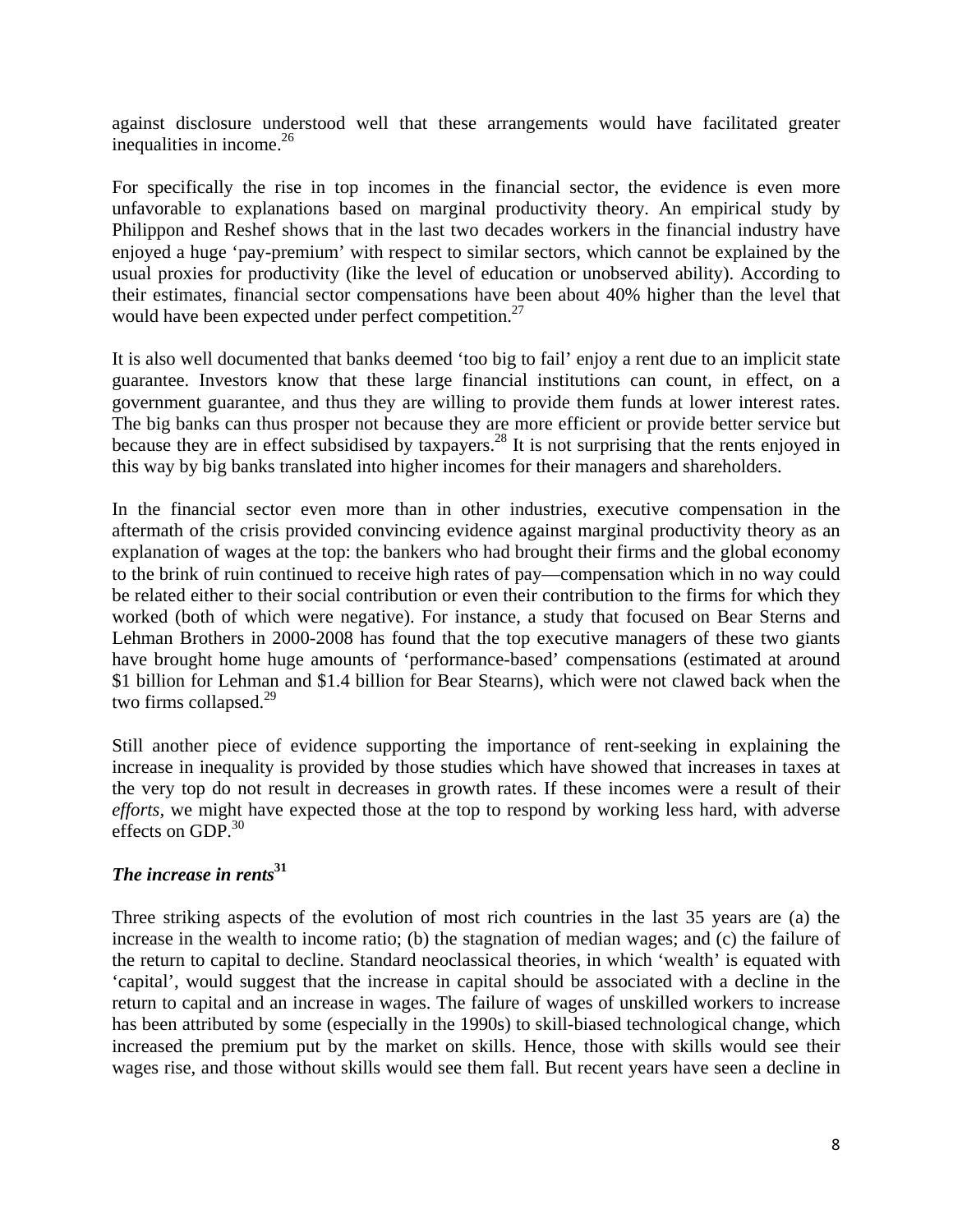against disclosure understood well that these arrangements would have facilitated greater inequalities in income.26

For specifically the rise in top incomes in the financial sector, the evidence is even more unfavorable to explanations based on marginal productivity theory. An empirical study by Philippon and Reshef shows that in the last two decades workers in the financial industry have enjoyed a huge 'pay-premium' with respect to similar sectors, which cannot be explained by the usual proxies for productivity (like the level of education or unobserved ability). According to their estimates, financial sector compensations have been about 40% higher than the level that would have been expected under perfect competition.<sup>27</sup>

It is also well documented that banks deemed 'too big to fail' enjoy a rent due to an implicit state guarantee. Investors know that these large financial institutions can count, in effect, on a government guarantee, and thus they are willing to provide them funds at lower interest rates. The big banks can thus prosper not because they are more efficient or provide better service but because they are in effect subsidised by taxpayers.<sup>28</sup> It is not surprising that the rents enjoyed in this way by big banks translated into higher incomes for their managers and shareholders.

In the financial sector even more than in other industries, executive compensation in the aftermath of the crisis provided convincing evidence against marginal productivity theory as an explanation of wages at the top: the bankers who had brought their firms and the global economy to the brink of ruin continued to receive high rates of pay—compensation which in no way could be related either to their social contribution or even their contribution to the firms for which they worked (both of which were negative). For instance, a study that focused on Bear Sterns and Lehman Brothers in 2000-2008 has found that the top executive managers of these two giants have brought home huge amounts of 'performance-based' compensations (estimated at around \$1 billion for Lehman and \$1.4 billion for Bear Stearns), which were not clawed back when the two firms collapsed. $29$ 

Still another piece of evidence supporting the importance of rent-seeking in explaining the increase in inequality is provided by those studies which have showed that increases in taxes at the very top do not result in decreases in growth rates. If these incomes were a result of their *efforts,* we might have expected those at the top to respond by working less hard, with adverse effects on GDP. $30$ 

## *The increase in rents***<sup>31</sup>**

Three striking aspects of the evolution of most rich countries in the last 35 years are (a) the increase in the wealth to income ratio; (b) the stagnation of median wages; and (c) the failure of the return to capital to decline. Standard neoclassical theories, in which 'wealth' is equated with 'capital', would suggest that the increase in capital should be associated with a decline in the return to capital and an increase in wages. The failure of wages of unskilled workers to increase has been attributed by some (especially in the 1990s) to skill-biased technological change, which increased the premium put by the market on skills. Hence, those with skills would see their wages rise, and those without skills would see them fall. But recent years have seen a decline in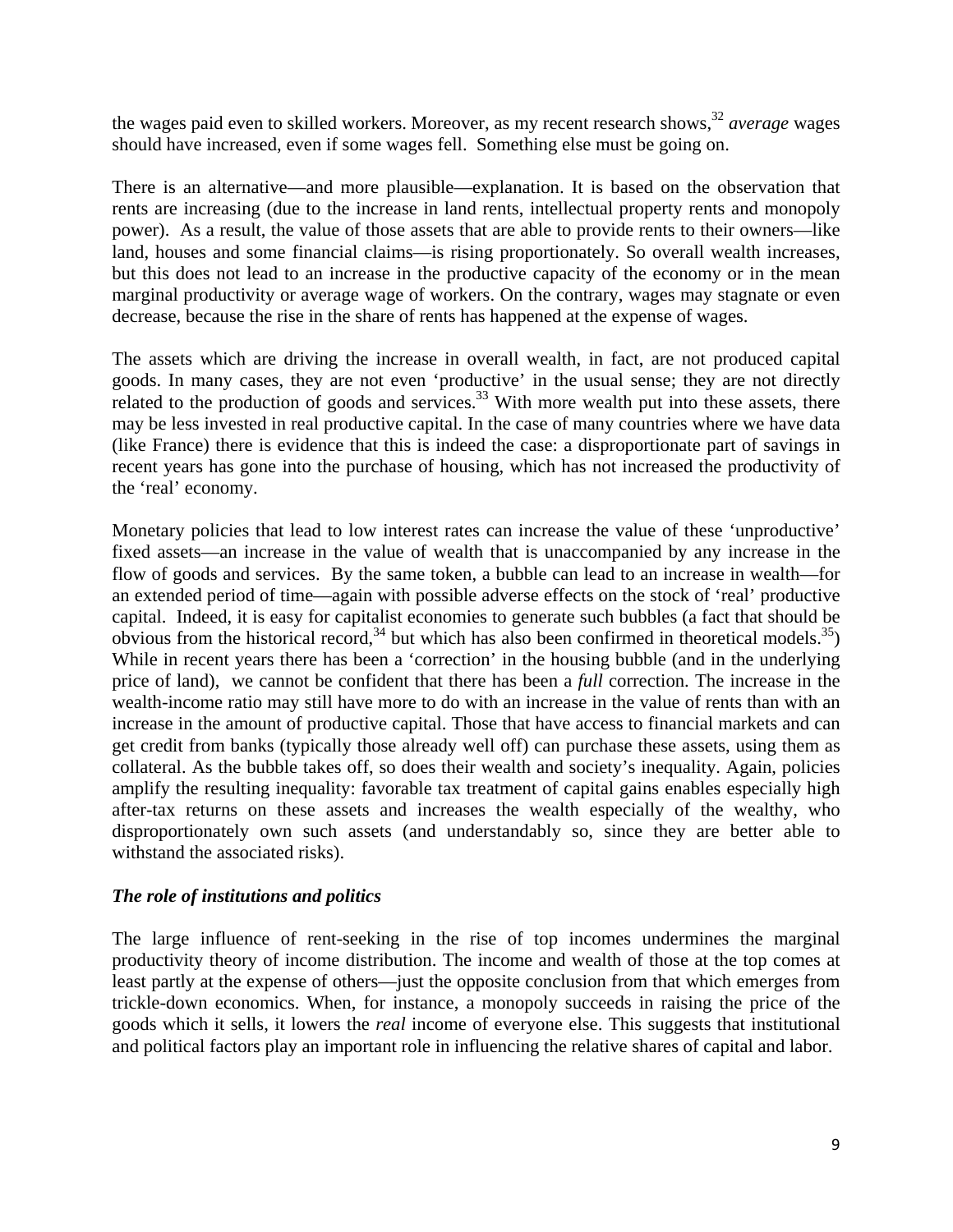the wages paid even to skilled workers. Moreover, as my recent research shows,<sup>32</sup> average wages should have increased, even if some wages fell. Something else must be going on.

There is an alternative—and more plausible—explanation. It is based on the observation that rents are increasing (due to the increase in land rents, intellectual property rents and monopoly power). As a result, the value of those assets that are able to provide rents to their owners—like land, houses and some financial claims—is rising proportionately. So overall wealth increases, but this does not lead to an increase in the productive capacity of the economy or in the mean marginal productivity or average wage of workers. On the contrary, wages may stagnate or even decrease, because the rise in the share of rents has happened at the expense of wages.

The assets which are driving the increase in overall wealth, in fact, are not produced capital goods. In many cases, they are not even 'productive' in the usual sense; they are not directly related to the production of goods and services. $33$  With more wealth put into these assets, there may be less invested in real productive capital. In the case of many countries where we have data (like France) there is evidence that this is indeed the case: a disproportionate part of savings in recent years has gone into the purchase of housing, which has not increased the productivity of the 'real' economy.

Monetary policies that lead to low interest rates can increase the value of these 'unproductive' fixed assets—an increase in the value of wealth that is unaccompanied by any increase in the flow of goods and services. By the same token, a bubble can lead to an increase in wealth—for an extended period of time—again with possible adverse effects on the stock of 'real' productive capital. Indeed, it is easy for capitalist economies to generate such bubbles (a fact that should be obvious from the historical record,<sup>34</sup> but which has also been confirmed in theoretical models.<sup>35</sup>) While in recent years there has been a 'correction' in the housing bubble (and in the underlying price of land), we cannot be confident that there has been a *full* correction. The increase in the wealth-income ratio may still have more to do with an increase in the value of rents than with an increase in the amount of productive capital. Those that have access to financial markets and can get credit from banks (typically those already well off) can purchase these assets, using them as collateral. As the bubble takes off, so does their wealth and society's inequality. Again, policies amplify the resulting inequality: favorable tax treatment of capital gains enables especially high after-tax returns on these assets and increases the wealth especially of the wealthy, who disproportionately own such assets (and understandably so, since they are better able to withstand the associated risks).

#### *The role of institutions and politics*

The large influence of rent-seeking in the rise of top incomes undermines the marginal productivity theory of income distribution. The income and wealth of those at the top comes at least partly at the expense of others—just the opposite conclusion from that which emerges from trickle-down economics. When, for instance, a monopoly succeeds in raising the price of the goods which it sells, it lowers the *real* income of everyone else. This suggests that institutional and political factors play an important role in influencing the relative shares of capital and labor.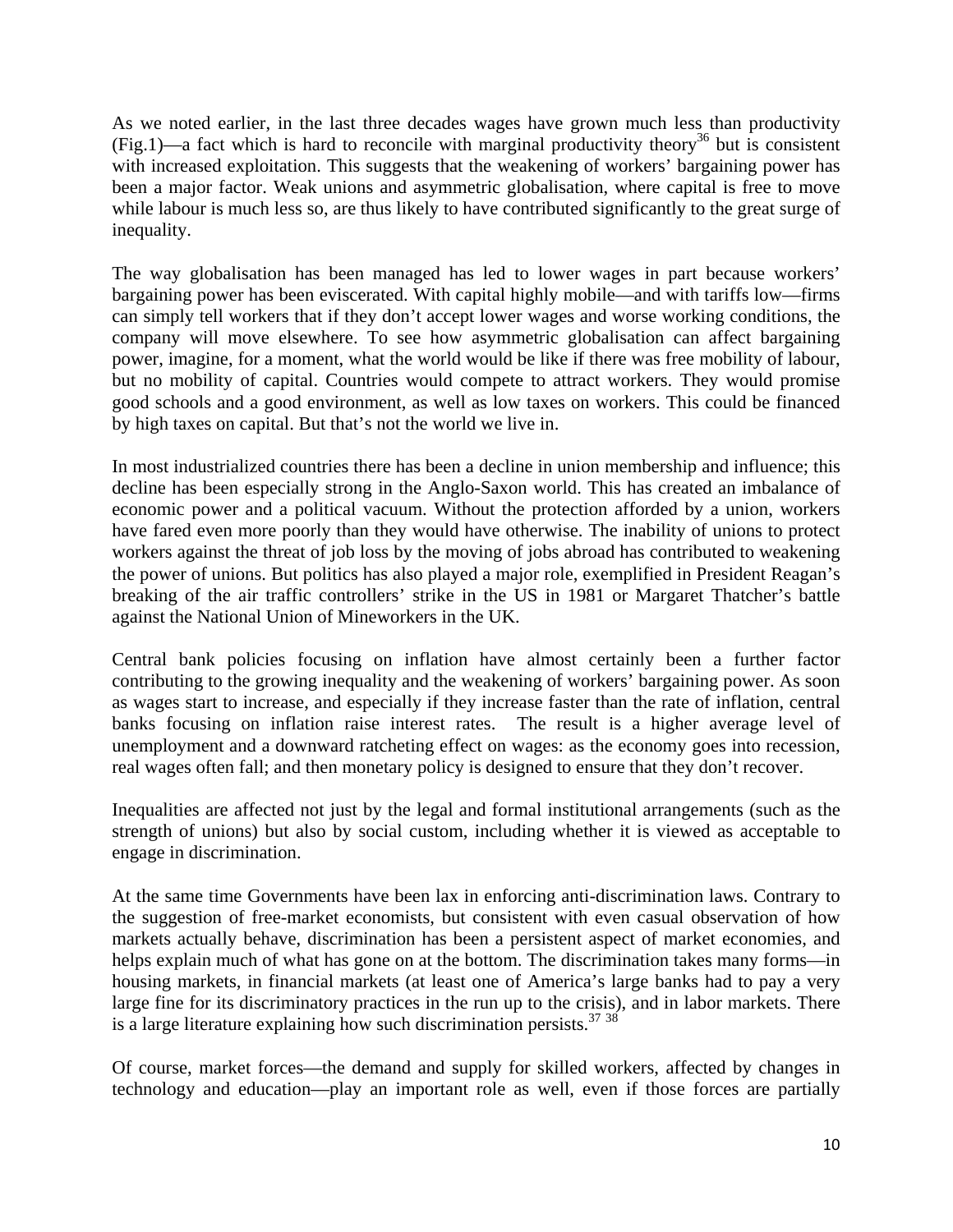As we noted earlier, in the last three decades wages have grown much less than productivity (Fig.1)—a fact which is hard to reconcile with marginal productivity theory<sup>36</sup> but is consistent with increased exploitation. This suggests that the weakening of workers' bargaining power has been a major factor. Weak unions and asymmetric globalisation, where capital is free to move while labour is much less so, are thus likely to have contributed significantly to the great surge of inequality.

The way globalisation has been managed has led to lower wages in part because workers' bargaining power has been eviscerated. With capital highly mobile—and with tariffs low—firms can simply tell workers that if they don't accept lower wages and worse working conditions, the company will move elsewhere. To see how asymmetric globalisation can affect bargaining power, imagine, for a moment, what the world would be like if there was free mobility of labour, but no mobility of capital. Countries would compete to attract workers. They would promise good schools and a good environment, as well as low taxes on workers. This could be financed by high taxes on capital. But that's not the world we live in.

In most industrialized countries there has been a decline in union membership and influence; this decline has been especially strong in the Anglo-Saxon world. This has created an imbalance of economic power and a political vacuum. Without the protection afforded by a union, workers have fared even more poorly than they would have otherwise. The inability of unions to protect workers against the threat of job loss by the moving of jobs abroad has contributed to weakening the power of unions. But politics has also played a major role, exemplified in President Reagan's breaking of the air traffic controllers' strike in the US in 1981 or Margaret Thatcher's battle against the National Union of Mineworkers in the UK.

Central bank policies focusing on inflation have almost certainly been a further factor contributing to the growing inequality and the weakening of workers' bargaining power. As soon as wages start to increase, and especially if they increase faster than the rate of inflation, central banks focusing on inflation raise interest rates. The result is a higher average level of unemployment and a downward ratcheting effect on wages: as the economy goes into recession, real wages often fall; and then monetary policy is designed to ensure that they don't recover.

Inequalities are affected not just by the legal and formal institutional arrangements (such as the strength of unions) but also by social custom, including whether it is viewed as acceptable to engage in discrimination.

At the same time Governments have been lax in enforcing anti-discrimination laws. Contrary to the suggestion of free-market economists, but consistent with even casual observation of how markets actually behave, discrimination has been a persistent aspect of market economies, and helps explain much of what has gone on at the bottom. The discrimination takes many forms—in housing markets, in financial markets (at least one of America's large banks had to pay a very large fine for its discriminatory practices in the run up to the crisis), and in labor markets. There is a large literature explaining how such discrimination persists.  $37\frac{38}{9}$ 

Of course, market forces—the demand and supply for skilled workers, affected by changes in technology and education—play an important role as well, even if those forces are partially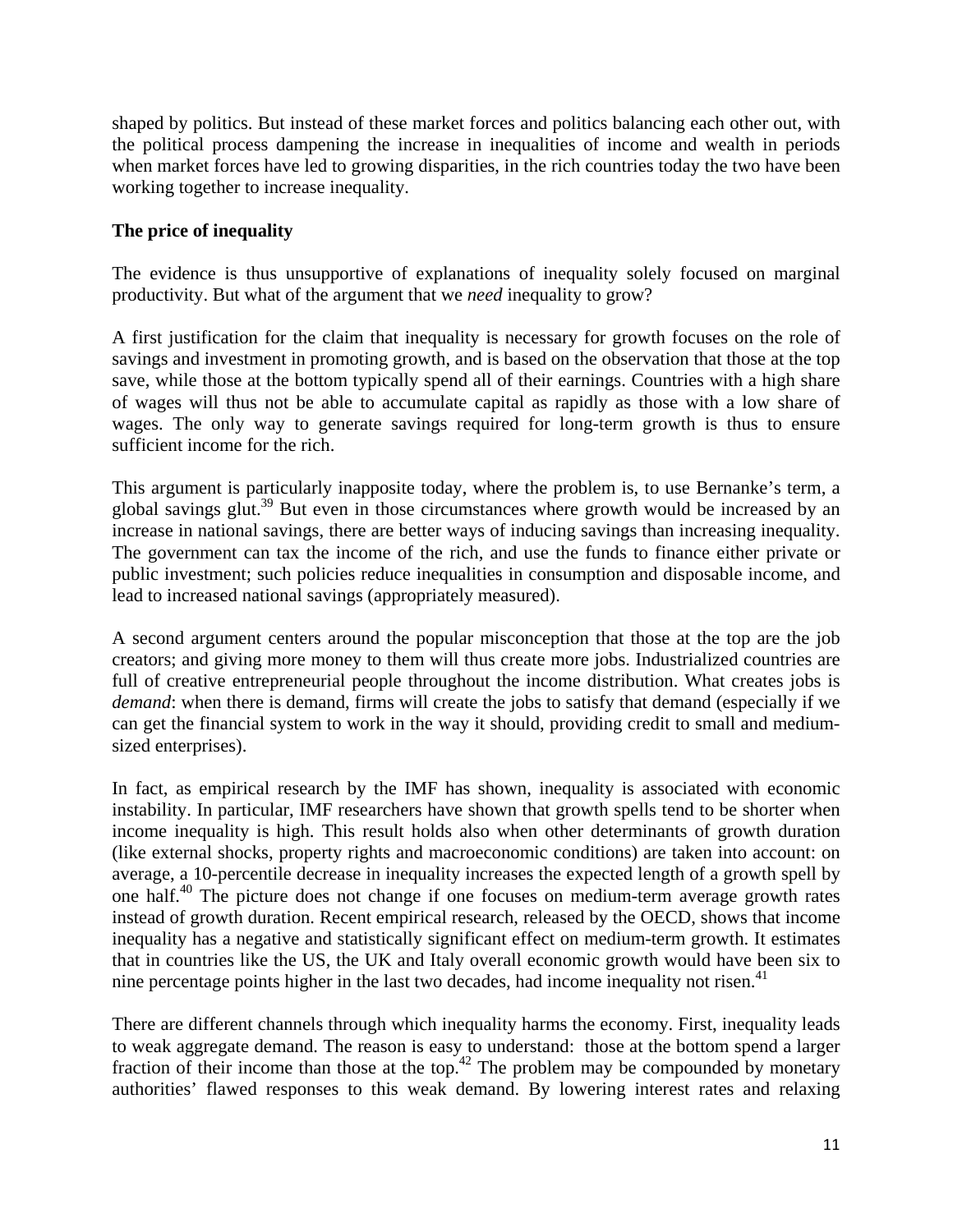shaped by politics. But instead of these market forces and politics balancing each other out, with the political process dampening the increase in inequalities of income and wealth in periods when market forces have led to growing disparities, in the rich countries today the two have been working together to increase inequality.

## **The price of inequality**

The evidence is thus unsupportive of explanations of inequality solely focused on marginal productivity. But what of the argument that we *need* inequality to grow?

A first justification for the claim that inequality is necessary for growth focuses on the role of savings and investment in promoting growth, and is based on the observation that those at the top save, while those at the bottom typically spend all of their earnings. Countries with a high share of wages will thus not be able to accumulate capital as rapidly as those with a low share of wages. The only way to generate savings required for long-term growth is thus to ensure sufficient income for the rich.

This argument is particularly inapposite today, where the problem is, to use Bernanke's term, a global savings glut.39 But even in those circumstances where growth would be increased by an increase in national savings, there are better ways of inducing savings than increasing inequality. The government can tax the income of the rich, and use the funds to finance either private or public investment; such policies reduce inequalities in consumption and disposable income, and lead to increased national savings (appropriately measured).

A second argument centers around the popular misconception that those at the top are the job creators; and giving more money to them will thus create more jobs. Industrialized countries are full of creative entrepreneurial people throughout the income distribution. What creates jobs is *demand*: when there is demand, firms will create the jobs to satisfy that demand (especially if we can get the financial system to work in the way it should, providing credit to small and mediumsized enterprises).

In fact, as empirical research by the IMF has shown, inequality is associated with economic instability. In particular, IMF researchers have shown that growth spells tend to be shorter when income inequality is high. This result holds also when other determinants of growth duration (like external shocks, property rights and macroeconomic conditions) are taken into account: on average, a 10-percentile decrease in inequality increases the expected length of a growth spell by one half.40 The picture does not change if one focuses on medium-term average growth rates instead of growth duration. Recent empirical research, released by the OECD, shows that income inequality has a negative and statistically significant effect on medium-term growth. It estimates that in countries like the US, the UK and Italy overall economic growth would have been six to nine percentage points higher in the last two decades, had income inequality not risen.<sup>41</sup>

There are different channels through which inequality harms the economy. First, inequality leads to weak aggregate demand. The reason is easy to understand: those at the bottom spend a larger fraction of their income than those at the top.<sup>42</sup> The problem may be compounded by monetary authorities' flawed responses to this weak demand. By lowering interest rates and relaxing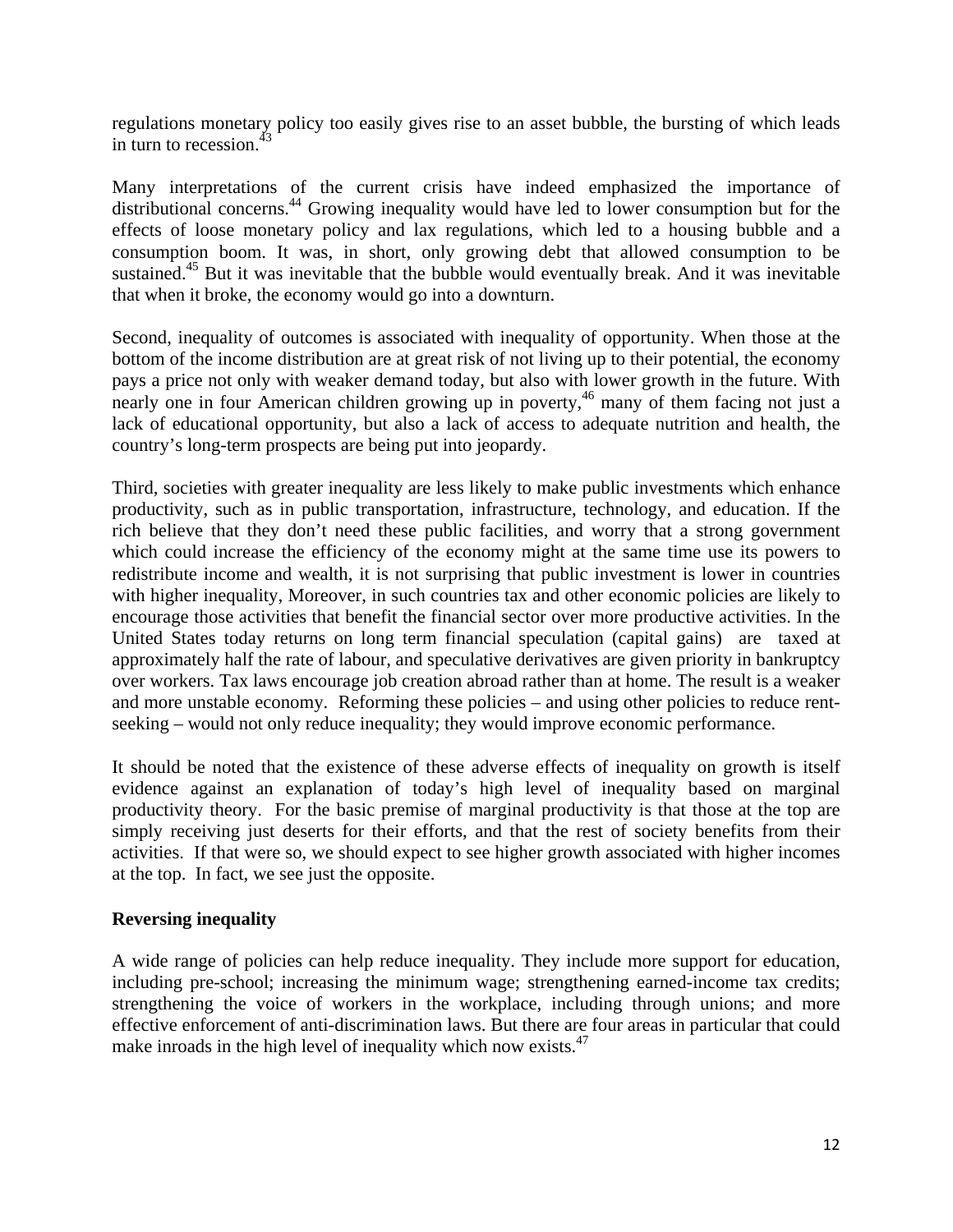regulations monetary policy too easily gives rise to an asset bubble, the bursting of which leads in turn to recession.<sup>43</sup>

Many interpretations of the current crisis have indeed emphasized the importance of distributional concerns.<sup>44</sup> Growing inequality would have led to lower consumption but for the effects of loose monetary policy and lax regulations, which led to a housing bubble and a consumption boom. It was, in short, only growing debt that allowed consumption to be sustained.<sup>45</sup> But it was inevitable that the bubble would eventually break. And it was inevitable that when it broke, the economy would go into a downturn.

Second, inequality of outcomes is associated with inequality of opportunity. When those at the bottom of the income distribution are at great risk of not living up to their potential, the economy pays a price not only with weaker demand today, but also with lower growth in the future. With nearly one in four American children growing up in poverty,<sup>46</sup> many of them facing not just a lack of educational opportunity, but also a lack of access to adequate nutrition and health, the country's long-term prospects are being put into jeopardy.

Third, societies with greater inequality are less likely to make public investments which enhance productivity, such as in public transportation, infrastructure, technology, and education. If the rich believe that they don't need these public facilities, and worry that a strong government which could increase the efficiency of the economy might at the same time use its powers to redistribute income and wealth, it is not surprising that public investment is lower in countries with higher inequality, Moreover, in such countries tax and other economic policies are likely to encourage those activities that benefit the financial sector over more productive activities. In the United States today returns on long term financial speculation (capital gains) are taxed at approximately half the rate of labour, and speculative derivatives are given priority in bankruptcy over workers. Tax laws encourage job creation abroad rather than at home. The result is a weaker and more unstable economy. Reforming these policies – and using other policies to reduce rentseeking – would not only reduce inequality; they would improve economic performance.

It should be noted that the existence of these adverse effects of inequality on growth is itself evidence against an explanation of today's high level of inequality based on marginal productivity theory. For the basic premise of marginal productivity is that those at the top are simply receiving just deserts for their efforts, and that the rest of society benefits from their activities. If that were so, we should expect to see higher growth associated with higher incomes at the top. In fact, we see just the opposite.

## **Reversing inequality**

A wide range of policies can help reduce inequality. They include more support for education, including pre-school; increasing the minimum wage; strengthening earned-income tax credits; strengthening the voice of workers in the workplace, including through unions; and more effective enforcement of anti-discrimination laws. But there are four areas in particular that could make inroads in the high level of inequality which now exists. $47$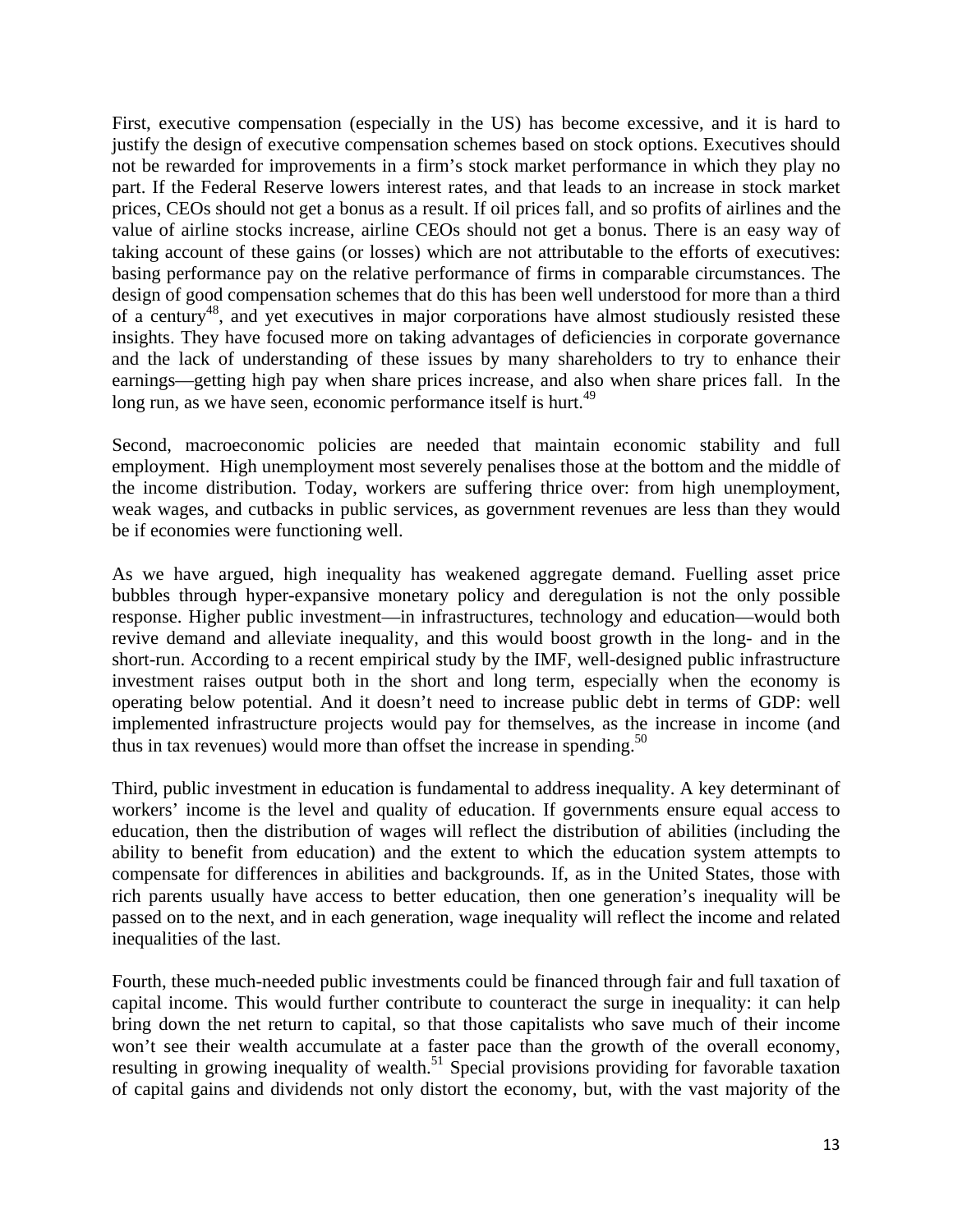First, executive compensation (especially in the US) has become excessive, and it is hard to justify the design of executive compensation schemes based on stock options. Executives should not be rewarded for improvements in a firm's stock market performance in which they play no part. If the Federal Reserve lowers interest rates, and that leads to an increase in stock market prices, CEOs should not get a bonus as a result. If oil prices fall, and so profits of airlines and the value of airline stocks increase, airline CEOs should not get a bonus. There is an easy way of taking account of these gains (or losses) which are not attributable to the efforts of executives: basing performance pay on the relative performance of firms in comparable circumstances. The design of good compensation schemes that do this has been well understood for more than a third of a century<sup>48</sup>, and yet executives in major corporations have almost studiously resisted these insights. They have focused more on taking advantages of deficiencies in corporate governance and the lack of understanding of these issues by many shareholders to try to enhance their earnings—getting high pay when share prices increase, and also when share prices fall. In the long run, as we have seen, economic performance itself is hurt.<sup>49</sup>

Second, macroeconomic policies are needed that maintain economic stability and full employment. High unemployment most severely penalises those at the bottom and the middle of the income distribution. Today, workers are suffering thrice over: from high unemployment, weak wages, and cutbacks in public services, as government revenues are less than they would be if economies were functioning well.

As we have argued, high inequality has weakened aggregate demand. Fuelling asset price bubbles through hyper-expansive monetary policy and deregulation is not the only possible response. Higher public investment—in infrastructures, technology and education—would both revive demand and alleviate inequality, and this would boost growth in the long- and in the short-run. According to a recent empirical study by the IMF, well-designed public infrastructure investment raises output both in the short and long term, especially when the economy is operating below potential. And it doesn't need to increase public debt in terms of GDP: well implemented infrastructure projects would pay for themselves, as the increase in income (and thus in tax revenues) would more than offset the increase in spending.<sup>50</sup>

Third, public investment in education is fundamental to address inequality. A key determinant of workers' income is the level and quality of education. If governments ensure equal access to education, then the distribution of wages will reflect the distribution of abilities (including the ability to benefit from education) and the extent to which the education system attempts to compensate for differences in abilities and backgrounds. If, as in the United States, those with rich parents usually have access to better education, then one generation's inequality will be passed on to the next, and in each generation, wage inequality will reflect the income and related inequalities of the last.

Fourth, these much-needed public investments could be financed through fair and full taxation of capital income. This would further contribute to counteract the surge in inequality: it can help bring down the net return to capital, so that those capitalists who save much of their income won't see their wealth accumulate at a faster pace than the growth of the overall economy, resulting in growing inequality of wealth.<sup>51</sup> Special provisions providing for favorable taxation of capital gains and dividends not only distort the economy, but, with the vast majority of the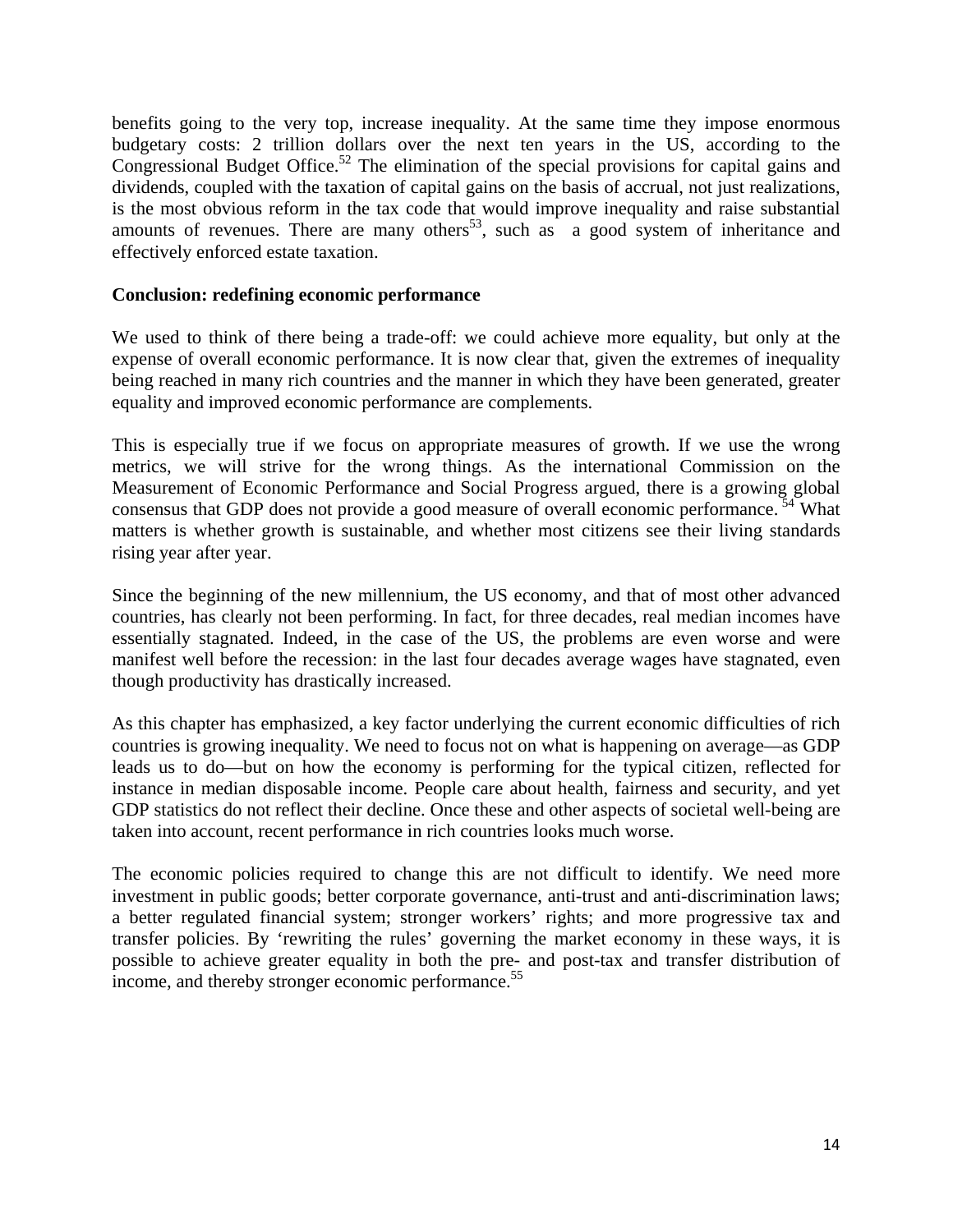benefits going to the very top, increase inequality. At the same time they impose enormous budgetary costs: 2 trillion dollars over the next ten years in the US, according to the Congressional Budget Office.<sup>52</sup> The elimination of the special provisions for capital gains and dividends, coupled with the taxation of capital gains on the basis of accrual, not just realizations, is the most obvious reform in the tax code that would improve inequality and raise substantial amounts of revenues. There are many others<sup>53</sup>, such as a good system of inheritance and effectively enforced estate taxation.

#### **Conclusion: redefining economic performance**

We used to think of there being a trade-off: we could achieve more equality, but only at the expense of overall economic performance. It is now clear that, given the extremes of inequality being reached in many rich countries and the manner in which they have been generated, greater equality and improved economic performance are complements.

This is especially true if we focus on appropriate measures of growth. If we use the wrong metrics, we will strive for the wrong things. As the international Commission on the Measurement of Economic Performance and Social Progress argued, there is a growing global consensus that GDP does not provide a good measure of overall economic performance.<sup>54</sup> What matters is whether growth is sustainable, and whether most citizens see their living standards rising year after year.

Since the beginning of the new millennium, the US economy, and that of most other advanced countries, has clearly not been performing. In fact, for three decades, real median incomes have essentially stagnated. Indeed, in the case of the US, the problems are even worse and were manifest well before the recession: in the last four decades average wages have stagnated, even though productivity has drastically increased.

As this chapter has emphasized, a key factor underlying the current economic difficulties of rich countries is growing inequality. We need to focus not on what is happening on average—as GDP leads us to do—but on how the economy is performing for the typical citizen, reflected for instance in median disposable income. People care about health, fairness and security, and yet GDP statistics do not reflect their decline. Once these and other aspects of societal well-being are taken into account, recent performance in rich countries looks much worse.

The economic policies required to change this are not difficult to identify. We need more investment in public goods; better corporate governance, anti-trust and anti-discrimination laws; a better regulated financial system; stronger workers' rights; and more progressive tax and transfer policies. By 'rewriting the rules' governing the market economy in these ways, it is possible to achieve greater equality in both the pre- and post-tax and transfer distribution of income, and thereby stronger economic performance.<sup>55</sup>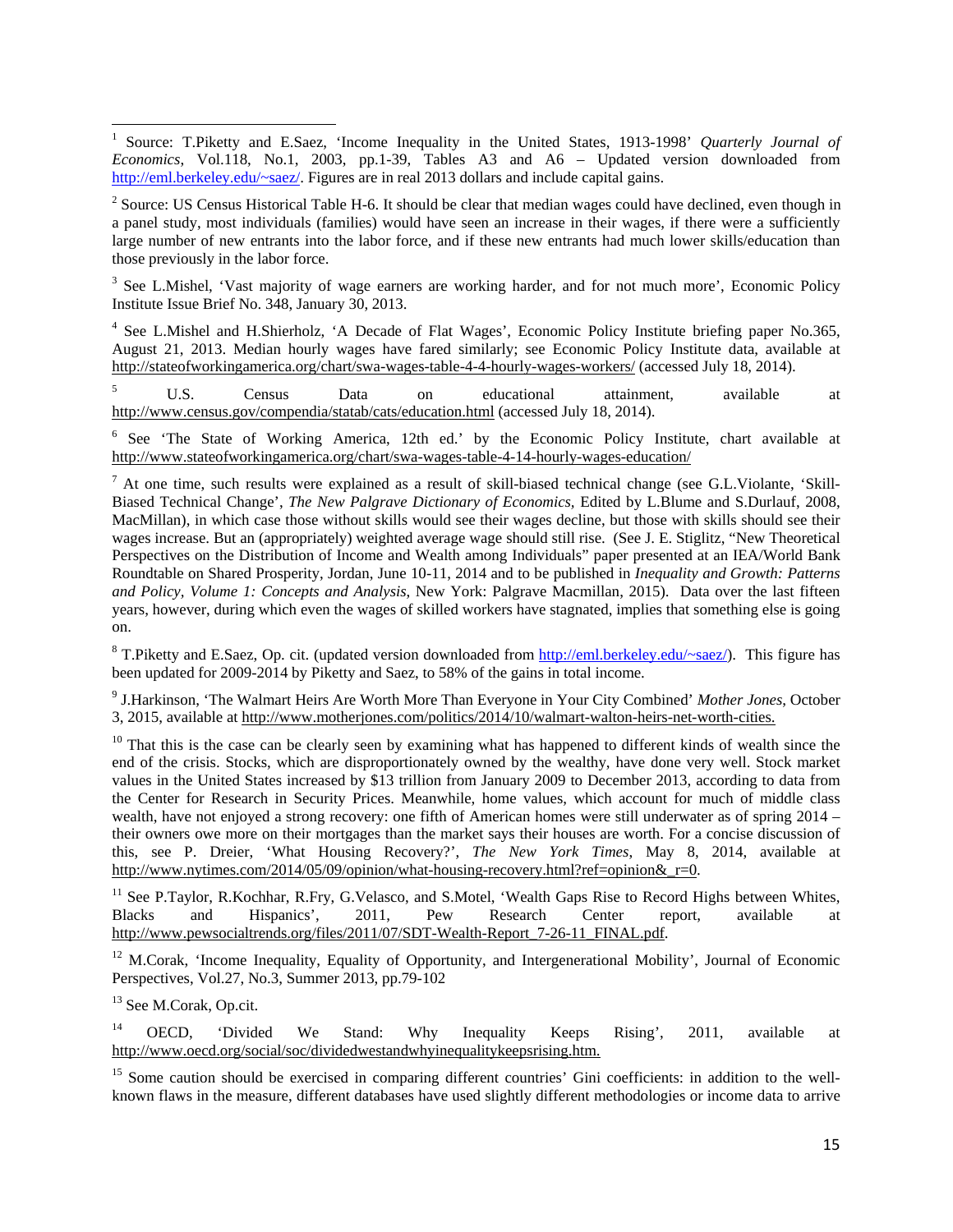<sup>2</sup> Source: US Census Historical Table H-6. It should be clear that median wages could have declined, even though in a panel study, most individuals (families) would have seen an increase in their wages, if there were a sufficiently large number of new entrants into the labor force, and if these new entrants had much lower skills/education than those previously in the labor force.

<sup>3</sup> See L.Mishel, 'Vast majority of wage earners are working harder, and for not much more', Economic Policy Institute Issue Brief No. 348, January 30, 2013.

<sup>4</sup> See L.Mishel and H.Shierholz, 'A Decade of Flat Wages', Economic Policy Institute briefing paper No.365, August 21, 2013. Median hourly wages have fared similarly; see Economic Policy Institute data, available at http://stateofworkingamerica.org/chart/swa-wages-table-4-4-hourly-wages-workers/ (accessed July 18, 2014).

5 U.S. Census Data on educational attainment, available at http://www.census.gov/compendia/statab/cats/education.html (accessed July 18, 2014).

<sup>6</sup> See 'The State of Working America, 12th ed.' by the Economic Policy Institute, chart available at http://www.stateofworkingamerica.org/chart/swa-wages-table-4-14-hourly-wages-education/

<sup>7</sup> At one time, such results were explained as a result of skill-biased technical change (see G.L.Violante, 'Skill-Biased Technical Change', *The New Palgrave Dictionary of Economics,* Edited by L.Blume and S.Durlauf, 2008, MacMillan), in which case those without skills would see their wages decline, but those with skills should see their wages increase. But an (appropriately) weighted average wage should still rise. (See J. E. Stiglitz, "New Theoretical Perspectives on the Distribution of Income and Wealth among Individuals" paper presented at an IEA/World Bank Roundtable on Shared Prosperity, Jordan, June 10-11, 2014 and to be published in *Inequality and Growth: Patterns and Policy, Volume 1: Concepts and Analysis*, New York: Palgrave Macmillan, 2015). Data over the last fifteen years, however, during which even the wages of skilled workers have stagnated, implies that something else is going on.

<sup>8</sup> T.Piketty and E.Saez, Op. cit. (updated version downloaded from http://eml.berkeley.edu/~saez/). This figure has been updated for 2009-2014 by Piketty and Saez, to 58% of the gains in total income.

9 J.Harkinson, 'The Walmart Heirs Are Worth More Than Everyone in Your City Combined' *Mother Jones*, October 3, 2015, available at http://www.motherjones.com/politics/2014/10/walmart-walton-heirs-net-worth-cities.

 $10$  That this is the case can be clearly seen by examining what has happened to different kinds of wealth since the end of the crisis. Stocks, which are disproportionately owned by the wealthy, have done very well. Stock market values in the United States increased by \$13 trillion from January 2009 to December 2013, according to data from the Center for Research in Security Prices. Meanwhile, home values, which account for much of middle class wealth, have not enjoyed a strong recovery: one fifth of American homes were still underwater as of spring 2014 – their owners owe more on their mortgages than the market says their houses are worth. For a concise discussion of this, see P. Dreier, 'What Housing Recovery?', *The New York Times*, May 8, 2014, available at http://www.nytimes.com/2014/05/09/opinion/what-housing-recovery.html?ref=opinion&r=0.

<sup>11</sup> See P.Taylor, R.Kochhar, R.Fry, G.Velasco, and S.Motel, 'Wealth Gaps Rise to Record Highs between Whites, Blacks and Hispanics', 2011, Pew Research Center report, available at Blacks and Hispanics', 2011, Pew Research Center report, available at http://www.pewsocialtrends.org/files/2011/07/SDT-Wealth-Report\_7-26-11\_FINAL.pdf.

<sup>12</sup> M.Corak, 'Income Inequality, Equality of Opportunity, and Intergenerational Mobility', Journal of Economic Perspectives, Vol.27, No.3, Summer 2013, pp.79-102

<sup>13</sup> See M.Corak, Op.cit.

<sup>14</sup> OECD, 'Divided We Stand: Why Inequality Keeps Rising', 2011, available at http://www.oecd.org/social/soc/dividedwestandwhyinequalitykeepsrising.htm.

<sup>15</sup> Some caution should be exercised in comparing different countries' Gini coefficients: in addition to the wellknown flaws in the measure, different databases have used slightly different methodologies or income data to arrive

 1 Source: T.Piketty and E.Saez, 'Income Inequality in the United States, 1913-1998' *Quarterly Journal of Economics*, Vol.118, No.1, 2003, pp.1-39, Tables A3 and A6 – Updated version downloaded from http://eml.berkeley.edu/~saez/. Figures are in real 2013 dollars and include capital gains.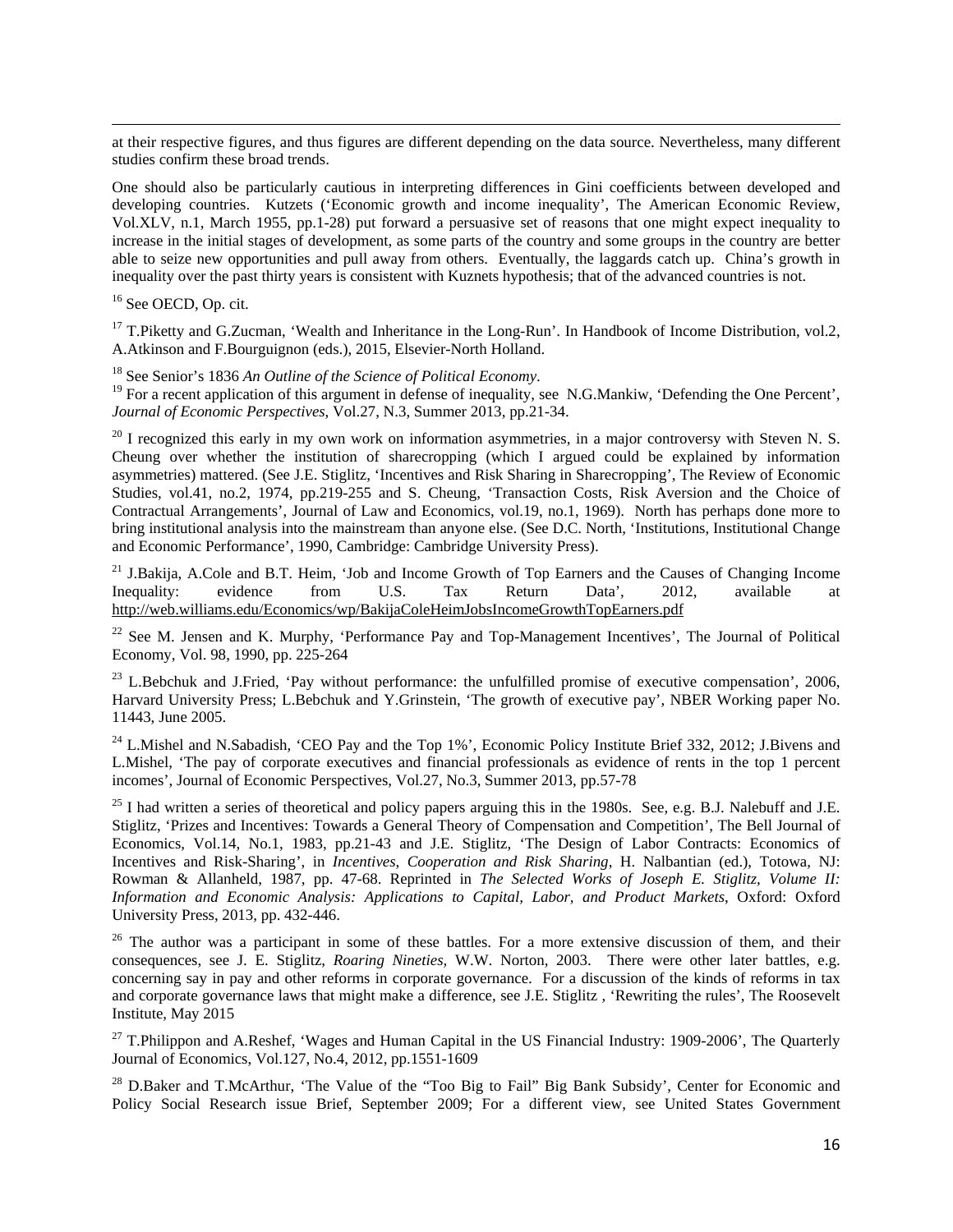<u> 1989 - Johann Stein, marwolaethau a bhannaich an t-an an t-an an t-an an t-an an t-an an t-an an t-an an t-a</u> at their respective figures, and thus figures are different depending on the data source. Nevertheless, many different studies confirm these broad trends.

One should also be particularly cautious in interpreting differences in Gini coefficients between developed and developing countries. Kutzets ('Economic growth and income inequality', The American Economic Review, Vol.XLV, n.1, March 1955, pp.1-28) put forward a persuasive set of reasons that one might expect inequality to increase in the initial stages of development, as some parts of the country and some groups in the country are better able to seize new opportunities and pull away from others. Eventually, the laggards catch up. China's growth in inequality over the past thirty years is consistent with Kuznets hypothesis; that of the advanced countries is not.

<sup>16</sup> See OECD, Op. cit.

<sup>17</sup> T.Piketty and G.Zucman, 'Wealth and Inheritance in the Long-Run'. In Handbook of Income Distribution, vol.2, A.Atkinson and F.Bourguignon (eds.), 2015, Elsevier-North Holland.

<sup>18</sup> See Senior's 1836 *An Outline of the Science of Political Economy*.<br><sup>19</sup> For a recent application of this argument in defense of inequality, see N.G.Mankiw, 'Defending the One Percent', *Journal of Economic Perspectives*, Vol.27, N.3, Summer 2013, pp.21-34.

 $^{20}$  I recognized this early in my own work on information asymmetries, in a major controversy with Steven N. S. Cheung over whether the institution of sharecropping (which I argued could be explained by information asymmetries) mattered. (See J.E. Stiglitz, 'Incentives and Risk Sharing in Sharecropping', The Review of Economic Studies, vol.41, no.2, 1974, pp.219-255 and S. Cheung, 'Transaction Costs, Risk Aversion and the Choice of Contractual Arrangements', Journal of Law and Economics, vol.19, no.1, 1969). North has perhaps done more to bring institutional analysis into the mainstream than anyone else. (See D.C. North, 'Institutions, Institutional Change and Economic Performance', 1990, Cambridge: Cambridge University Press).

21 J.Bakija, A.Cole and B.T. Heim, 'Job and Income Growth of Top Earners and the Causes of Changing Income Inequality: evidence from U.S. Tax Return Data', 2012, available at http://web.williams.edu/Economics/wp/BakijaColeHeimJobsIncomeGrowthTopEarners.pdf

 $22$  See M. Jensen and K. Murphy, 'Performance Pay and Top-Management Incentives', The Journal of Political Economy, Vol. 98, 1990, pp. 225-264

 $^{23}$  L.Bebchuk and J.Fried, 'Pay without performance: the unfulfilled promise of executive compensation', 2006, Harvard University Press; L.Bebchuk and Y.Grinstein, 'The growth of executive pay', NBER Working paper No. 11443, June 2005.

<sup>24</sup> L.Mishel and N.Sabadish, 'CEO Pay and the Top 1%', Economic Policy Institute Brief 332, 2012; J.Bivens and L.Mishel, 'The pay of corporate executives and financial professionals as evidence of rents in the top 1 percent incomes', Journal of Economic Perspectives, Vol.27, No.3, Summer 2013, pp.57-78

 $^{25}$  I had written a series of theoretical and policy papers arguing this in the 1980s. See, e.g. B.J. Nalebuff and J.E. Stiglitz, 'Prizes and Incentives: Towards a General Theory of Compensation and Competition', The Bell Journal of Economics, Vol.14, No.1, 1983, pp.21-43 and J.E. Stiglitz, 'The Design of Labor Contracts: Economics of Incentives and Risk-Sharing', in *Incentives*, *Cooperation and Risk Sharing*, H. Nalbantian (ed.), Totowa, NJ: Rowman & Allanheld, 1987, pp. 47-68. Reprinted in *The Selected Works of Joseph E. Stiglitz, Volume II: Information and Economic Analysis: Applications to Capital, Labor, and Product Markets*, Oxford: Oxford University Press, 2013, pp. 432-446.

<sup>26</sup> The author was a participant in some of these battles. For a more extensive discussion of them, and their consequences, see J. E. Stiglitz, *Roaring Nineties,* W.W. Norton, 2003. There were other later battles, e.g. concerning say in pay and other reforms in corporate governance. For a discussion of the kinds of reforms in tax and corporate governance laws that might make a difference, see J.E. Stiglitz , 'Rewriting the rules', The Roosevelt Institute, May 2015

<sup>27</sup> T.Philippon and A.Reshef, 'Wages and Human Capital in the US Financial Industry: 1909-2006', The Quarterly Journal of Economics, Vol.127, No.4, 2012, pp.1551-1609

<sup>28</sup> D.Baker and T.McArthur, 'The Value of the "Too Big to Fail" Big Bank Subsidy', Center for Economic and Policy Social Research issue Brief, September 2009; For a different view, see United States Government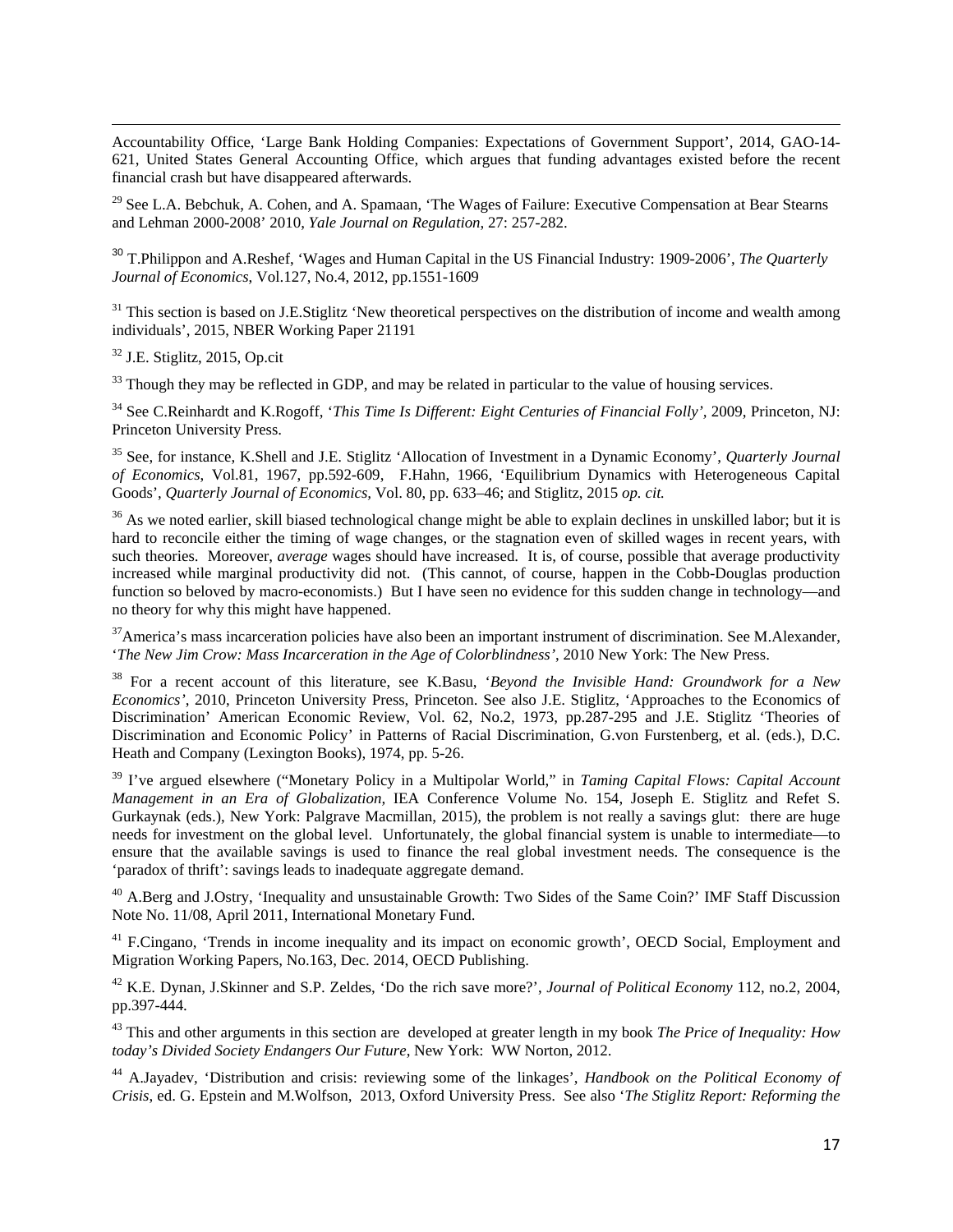Accountability Office, 'Large Bank Holding Companies: Expectations of Government Support', 2014, GAO-14- 621, United States General Accounting Office, which argues that funding advantages existed before the recent financial crash but have disappeared afterwards.

<u> 1989 - Johann Stein, marwolaethau a bhannaich an t-an an t-an an t-an an t-an an t-an an t-an an t-an an t-a</u>

<sup>29</sup> See L.A. Bebchuk, A. Cohen, and A. Spamaan, 'The Wages of Failure: Executive Compensation at Bear Stearns and Lehman 2000-2008' 2010, *Yale Journal on Regulation*, 27: 257-282.

<sup>30</sup> T.Philippon and A.Reshef, 'Wages and Human Capital in the US Financial Industry: 1909-2006', *The Quarterly Journal of Economics*, Vol.127, No.4, 2012, pp.1551-1609

 $31$  This section is based on J.E.Stiglitz 'New theoretical perspectives on the distribution of income and wealth among individuals', 2015, NBER Working Paper 21191

32 J.E. Stiglitz, 2015, Op.cit

<sup>33</sup> Though they may be reflected in GDP, and may be related in particular to the value of housing services.

34 See C.Reinhardt and K.Rogoff, '*This Time Is Different: Eight Centuries of Financial Folly',* 2009, Princeton, NJ: Princeton University Press.

35 See, for instance, K.Shell and J.E. Stiglitz 'Allocation of Investment in a Dynamic Economy', *Quarterly Journal of Economics*, Vol.81, 1967, pp.592-609, F.Hahn, 1966, 'Equilibrium Dynamics with Heterogeneous Capital Goods', *Quarterly Journal of Economics,* Vol. 80, pp. 633–46; and Stiglitz, 2015 *op. cit.*

<sup>36</sup> As we noted earlier, skill biased technological change might be able to explain declines in unskilled labor; but it is hard to reconcile either the timing of wage changes, or the stagnation even of skilled wages in recent years, with such theories. Moreover, *average* wages should have increased. It is, of course, possible that average productivity increased while marginal productivity did not. (This cannot, of course, happen in the Cobb-Douglas production function so beloved by macro-economists.) But I have seen no evidence for this sudden change in technology—and no theory for why this might have happened.

 $37$ America's mass incarceration policies have also been an important instrument of discrimination. See M.Alexander, '*The New Jim Crow: Mass Incarceration in the Age of Colorblindness'*, 2010 New York: The New Press.

38 For a recent account of this literature, see K.Basu, '*Beyond the Invisible Hand: Groundwork for a New Economics'*, 2010, Princeton University Press, Princeton. See also J.E. Stiglitz, 'Approaches to the Economics of Discrimination' American Economic Review, Vol. 62, No.2, 1973, pp.287-295 and J.E. Stiglitz 'Theories of Discrimination and Economic Policy' in Patterns of Racial Discrimination, G.von Furstenberg, et al. (eds.), D.C. Heath and Company (Lexington Books), 1974, pp. 5-26.

39 I've argued elsewhere ("Monetary Policy in a Multipolar World," in *Taming Capital Flows: Capital Account Management in an Era of Globalization,* IEA Conference Volume No. 154, Joseph E. Stiglitz and Refet S. Gurkaynak (eds.), New York: Palgrave Macmillan, 2015), the problem is not really a savings glut: there are huge needs for investment on the global level. Unfortunately, the global financial system is unable to intermediate—to ensure that the available savings is used to finance the real global investment needs. The consequence is the 'paradox of thrift': savings leads to inadequate aggregate demand.

40 A.Berg and J.Ostry, 'Inequality and unsustainable Growth: Two Sides of the Same Coin?' IMF Staff Discussion Note No. 11/08, April 2011, International Monetary Fund.

<sup>41</sup> F.Cingano, 'Trends in income inequality and its impact on economic growth', OECD Social, Employment and Migration Working Papers, No.163, Dec. 2014, OECD Publishing.

42 K.E. Dynan, J.Skinner and S.P. Zeldes, 'Do the rich save more?', *Journal of Political Economy* 112, no.2, 2004, pp.397-444.

43 This and other arguments in this section are developed at greater length in my book *The Price of Inequality: How today's Divided Society Endangers Our Future*, New York: WW Norton, 2012.

44 A.Jayadev, 'Distribution and crisis: reviewing some of the linkages', *Handbook on the Political Economy of Crisis*, ed. G. Epstein and M.Wolfson, 2013, Oxford University Press. See also '*The Stiglitz Report: Reforming the*